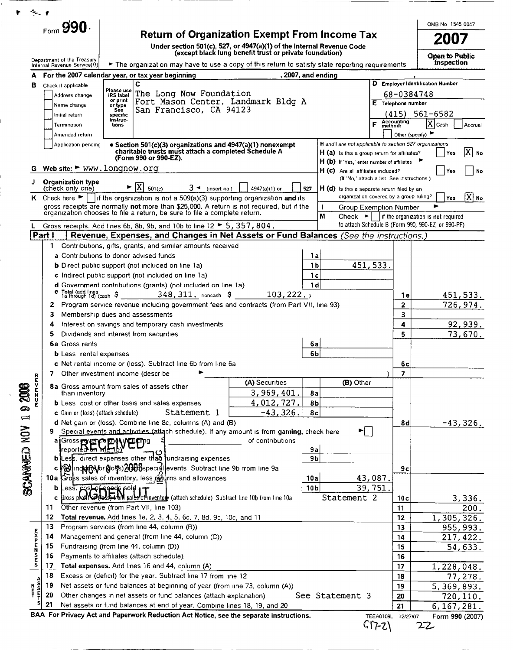|                            | Form $990.$                                      |                                                                                                                          |                         |                                                                                                                                                                                          |                  |                                                                                            |                                                                                                               |                    | OMB No 1545 0047                    |
|----------------------------|--------------------------------------------------|--------------------------------------------------------------------------------------------------------------------------|-------------------------|------------------------------------------------------------------------------------------------------------------------------------------------------------------------------------------|------------------|--------------------------------------------------------------------------------------------|---------------------------------------------------------------------------------------------------------------|--------------------|-------------------------------------|
|                            |                                                  |                                                                                                                          |                         | <b>Return of Organization Exempt From Income Tax</b><br>Under section 501(c), 527, or 4947(a)(1) of the Internal Revenue Code<br>(except black lung benefit trust or private foundation) |                  |                                                                                            |                                                                                                               |                    | 2007                                |
|                            | Department of the Treasury                       |                                                                                                                          |                         |                                                                                                                                                                                          |                  |                                                                                            |                                                                                                               |                    | Open to Public<br><b>Inspection</b> |
|                            | Internal Revenue Service(77)                     | For the 2007 calendar year, or tax year beginning                                                                        |                         | The organization may have to use a copy of this return to satisfy state reporting requirements                                                                                           | 2007, and ending |                                                                                            |                                                                                                               |                    |                                     |
| в                          | Check if applicable                              | C                                                                                                                        |                         |                                                                                                                                                                                          |                  |                                                                                            | D Employer Identification Number                                                                              |                    |                                     |
|                            | Address change                                   | Please use<br>IRS label                                                                                                  | The Long Now Foundation |                                                                                                                                                                                          |                  |                                                                                            | 68-0384748                                                                                                    |                    |                                     |
|                            | Name change                                      | or print<br>or type                                                                                                      |                         | Fort Mason Center, Landmark Bldg A                                                                                                                                                       |                  |                                                                                            | E Telephone number                                                                                            |                    |                                     |
|                            | Initial return                                   | See<br>specific                                                                                                          | San Francisco, CA 94123 |                                                                                                                                                                                          |                  |                                                                                            |                                                                                                               | $(415) 561 - 6582$ |                                     |
|                            | Termination                                      | Instruc-<br>tions                                                                                                        |                         |                                                                                                                                                                                          |                  |                                                                                            | Accounting<br>method:<br>F                                                                                    | $ X $ Cash         | Accrual                             |
|                            | Amended return                                   |                                                                                                                          |                         |                                                                                                                                                                                          |                  |                                                                                            | Other (specify)                                                                                               |                    |                                     |
|                            | Application pending                              | charitable trusts must attach a completed Schedule A                                                                     |                         | • Section 501(c)(3) organizations and 4947(a)(1) nonexempt                                                                                                                               |                  | H and I are not applicable to section 527 organizations                                    |                                                                                                               |                    |                                     |
|                            |                                                  | (Form 990 or 990-EZ).                                                                                                    |                         |                                                                                                                                                                                          |                  | H (a) is this a group return for affiliates?<br>H (b) If 'Yes,' enter number of affiliates |                                                                                                               |                    | $\tilde{X}$<br>Yes<br>No            |
| G                          |                                                  | Web site: $\blacktriangleright$ www.longnow.org                                                                          |                         |                                                                                                                                                                                          |                  | H (c) Are all affiliates included?                                                         |                                                                                                               |                    | Yes<br>No                           |
| J                          | <b>Organization type</b>                         |                                                                                                                          |                         |                                                                                                                                                                                          |                  |                                                                                            | (If 'No,' attach a list See instructions)                                                                     |                    |                                     |
|                            | (check only one)                                 | $\blacktriangleright$ $ X $<br>501(c)                                                                                    | $3 -$ (insert no)       | 4947(a)(1) or                                                                                                                                                                            | 527              | H (d) Is this a separate return filed by an                                                |                                                                                                               |                    |                                     |
|                            |                                                  |                                                                                                                          |                         | K Check here $\blacktriangleright$   if the organization is not a 509(a)(3) supporting organization and its                                                                              |                  |                                                                                            | organization covered by a group ruling?                                                                       |                    | X  н.<br><b>Yes</b>                 |
|                            |                                                  | organization chooses to file a return, be sure to file a complete return.                                                |                         | gross receipts are normally not more than \$25,000. A return is not required, but if the                                                                                                 | $\mathbf{I}$     |                                                                                            | Group Exemption Number                                                                                        |                    |                                     |
|                            |                                                  |                                                                                                                          |                         |                                                                                                                                                                                          | M                |                                                                                            | Check $\bullet$     if the organization is not required<br>to attach Schedule B (Form 990, 990-EZ, or 990-PF) |                    |                                     |
| Part i                     |                                                  | Gross receipts. Add lines 6b, 8b, 9b, and 10b to line 12 $\blacktriangleright$ 5, 357, 804.                              |                         | Revenue, Expenses, and Changes in Net Assets or Fund Balances (See the instructions.)                                                                                                    |                  |                                                                                            |                                                                                                               |                    |                                     |
|                            | 1.                                               | Contributions, gifts, grants, and similar amounts received                                                               |                         |                                                                                                                                                                                          |                  |                                                                                            |                                                                                                               |                    |                                     |
|                            |                                                  | a Contributions to donor advised funds                                                                                   |                         |                                                                                                                                                                                          | 1a               |                                                                                            |                                                                                                               |                    |                                     |
|                            |                                                  | 1 <sub>b</sub><br><b>b</b> Direct public support (not included on line 1a)                                               |                         |                                                                                                                                                                                          |                  |                                                                                            | 451, 533.                                                                                                     |                    |                                     |
|                            |                                                  | c Indirect public support (not included on line 1a)<br>1с                                                                |                         |                                                                                                                                                                                          |                  |                                                                                            |                                                                                                               |                    |                                     |
|                            |                                                  | d Government contributions (grants) (not included on line 1a)<br>1 d                                                     |                         |                                                                                                                                                                                          |                  |                                                                                            |                                                                                                               |                    |                                     |
|                            | Total (add lines<br>la through 1d) (cash \$<br>е |                                                                                                                          | $348,311.$ noncash \$   | 103, 222.                                                                                                                                                                                |                  |                                                                                            | 1 e                                                                                                           |                    | 451, 533.                           |
|                            | 2                                                |                                                                                                                          |                         | Program service revenue including government fees and contracts (from Part VII, line 93)                                                                                                 |                  |                                                                                            | $\mathbf{z}$                                                                                                  |                    | 726,974.                            |
|                            | з                                                | Membership dues and assessments                                                                                          |                         |                                                                                                                                                                                          |                  |                                                                                            | 3                                                                                                             |                    |                                     |
|                            | 4                                                | Interest on savings and temporary cash investments                                                                       |                         |                                                                                                                                                                                          |                  |                                                                                            | 4                                                                                                             |                    | 92,939.                             |
|                            | 5                                                | Dividends and interest from securities                                                                                   |                         |                                                                                                                                                                                          |                  |                                                                                            | 5                                                                                                             |                    | 73,670.                             |
|                            | 6a Gross rents                                   |                                                                                                                          |                         |                                                                                                                                                                                          | 6a               |                                                                                            |                                                                                                               |                    |                                     |
|                            | <b>b</b> Less rental expenses                    |                                                                                                                          |                         |                                                                                                                                                                                          | 6b               |                                                                                            |                                                                                                               |                    |                                     |
|                            |                                                  | c Net rental income or (loss). Subtract line 6b from line 6a                                                             |                         |                                                                                                                                                                                          |                  |                                                                                            | 6с                                                                                                            |                    |                                     |
|                            |                                                  | Other investment income (describe                                                                                        |                         | (A) Securities                                                                                                                                                                           |                  | (B) Other                                                                                  | 7                                                                                                             |                    |                                     |
| <b>CZM</b><br>CZM<br>2008  |                                                  | 8a Gross amount from sales of assets other                                                                               |                         | 3,969,401.                                                                                                                                                                               | 8a               |                                                                                            |                                                                                                               |                    |                                     |
|                            | than inventory                                   | <b>b</b> Less cost or other basis and sales expenses                                                                     |                         | 4,012,727.                                                                                                                                                                               | 8 <sub>b</sub>   |                                                                                            |                                                                                                               |                    |                                     |
|                            | c Gain or (loss) (attach schedule)               |                                                                                                                          | Statement 1             | $-43,326.$                                                                                                                                                                               | 8 <sub>c</sub>   |                                                                                            |                                                                                                               |                    |                                     |
| $\mathbf{I}$               |                                                  | d Net gain or (loss). Combine line 8c, columns (A) and (B)                                                               |                         |                                                                                                                                                                                          |                  |                                                                                            | 8d                                                                                                            |                    | $-43,326.$                          |
| NON                        | 9                                                |                                                                                                                          |                         | Special events and activities (attach schedule). If any amount is from gaming, check here                                                                                                |                  | ►∣                                                                                         |                                                                                                               |                    |                                     |
|                            |                                                  | a Gross revery to the Will and                                                                                           |                         | of contributions                                                                                                                                                                         |                  |                                                                                            |                                                                                                               |                    |                                     |
|                            | reported <del>on</del> Me                        |                                                                                                                          |                         |                                                                                                                                                                                          | <b>9a</b>        |                                                                                            |                                                                                                               |                    |                                     |
| SCANNED                    |                                                  | bless. direct expenses other than fundraising expenses                                                                   |                         |                                                                                                                                                                                          | 9 <sub>b</sub>   |                                                                                            |                                                                                                               |                    |                                     |
|                            |                                                  | c Bilinching of 05 2000 Special events Subtract line 9b from line 9a                                                     |                         |                                                                                                                                                                                          |                  |                                                                                            | 9c                                                                                                            |                    |                                     |
|                            |                                                  | 10a Gross sales of inventory, less returns and allowances                                                                |                         |                                                                                                                                                                                          | 10a              |                                                                                            | 43,087.                                                                                                       |                    |                                     |
|                            | b<br>c                                           | Less. Cost of quods poid 1 T<br>Gross phofit of the state of inventory (attach schedule) Subtract line 10b from line 10a |                         |                                                                                                                                                                                          | 10 <sub>b</sub>  | Statement 2                                                                                | 39,751.                                                                                                       |                    |                                     |
|                            | 11                                               | Other revenue (from Part VII, line 103)                                                                                  |                         |                                                                                                                                                                                          |                  |                                                                                            | 10c<br>11                                                                                                     |                    | 3,336.<br>200.                      |
|                            | 12                                               | Total revenue. Add lines 1e, 2, 3, 4, 5, 6c, 7, 8d, 9c, 10c, and 11                                                      |                         |                                                                                                                                                                                          |                  |                                                                                            | 12                                                                                                            |                    | 1,305,326.                          |
|                            | 13                                               | Program services (from line 44, column (B)).                                                                             |                         |                                                                                                                                                                                          |                  |                                                                                            | 13                                                                                                            |                    | 955, 993.                           |
|                            | 14                                               | Management and general (from line 44, column (C))                                                                        |                         |                                                                                                                                                                                          |                  |                                                                                            | 14                                                                                                            |                    | 217, 422.                           |
| いにとりはとこ                    | 15                                               | Fundraising (from line 44, column (D))                                                                                   |                         |                                                                                                                                                                                          |                  |                                                                                            | 15                                                                                                            |                    | 54,633.                             |
|                            | 16                                               | Payments to affiliates (attach schedule).                                                                                |                         |                                                                                                                                                                                          |                  |                                                                                            | 16                                                                                                            |                    |                                     |
|                            | 17                                               | Total expenses. Add lines 16 and 44, column (A)                                                                          |                         |                                                                                                                                                                                          |                  |                                                                                            | 17                                                                                                            |                    | 1,228,048.                          |
|                            | 18                                               | Excess or (deficit) for the year. Subtract line 17 from line 12                                                          |                         |                                                                                                                                                                                          |                  |                                                                                            | 18                                                                                                            |                    | 77,278.                             |
|                            |                                                  |                                                                                                                          |                         |                                                                                                                                                                                          |                  |                                                                                            |                                                                                                               |                    |                                     |
|                            | 19                                               | Net assets or fund balances at beginning of year (from line 73, column (A))                                              |                         |                                                                                                                                                                                          |                  |                                                                                            | 19                                                                                                            |                    |                                     |
| A<br>S<br>F<br>F<br>N<br>T | 20                                               | Other changes in net assets or fund balances (attach explanation)                                                        |                         |                                                                                                                                                                                          |                  | See Statement 3                                                                            | 20                                                                                                            |                    | 5, 369, 893.<br>720,110.            |

| BAA For Privacy Act and Paperwork Reduction Act Notice, see the separate instructions. |  |  |  |
|----------------------------------------------------------------------------------------|--|--|--|
|----------------------------------------------------------------------------------------|--|--|--|

TEEA0109L 12/27/07 F Form 990 (2007)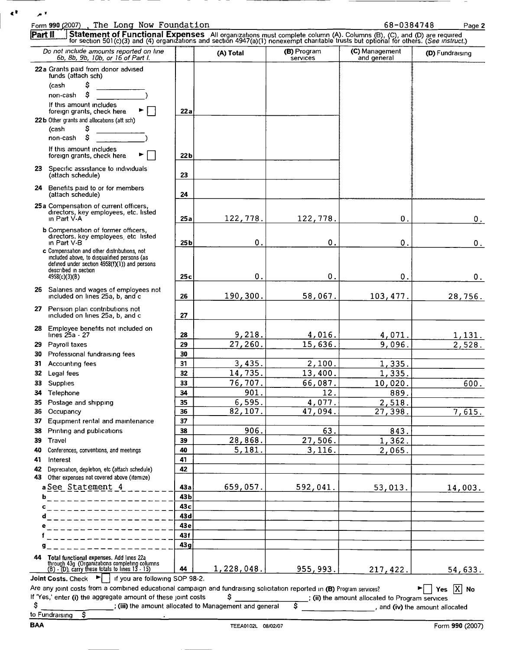| $\blacktriangle$ $^{\text{T}}$ | The Long Now Foundation<br>Form 990 (2007)                                                                                                                                                                                        |          |                   |                         | 68-0384748                    | Page 2               |
|--------------------------------|-----------------------------------------------------------------------------------------------------------------------------------------------------------------------------------------------------------------------------------|----------|-------------------|-------------------------|-------------------------------|----------------------|
| Part II                        |                                                                                                                                                                                                                                   |          |                   |                         |                               |                      |
|                                | Statement of Functional Expenses All organizations must complete column (A). Columns (B), (C), and (D) are required<br>for section 501(c)(3) and (4) organizations and section 4947(a)(1) nonexempt charitable trusts but optiona |          |                   |                         |                               |                      |
|                                | Do not include amounts reported on line<br>6b, 8b, 9b, 10b, or 16 of Part I.                                                                                                                                                      |          | (A) Total         | (B) Program<br>services | (C) Management<br>and general | (D) Fundraising      |
|                                | 22a Grants paid from donor advised                                                                                                                                                                                                |          |                   |                         |                               |                      |
|                                | funds (attach sch)                                                                                                                                                                                                                |          |                   |                         |                               |                      |
|                                | (cash<br>S                                                                                                                                                                                                                        |          |                   |                         |                               |                      |
|                                | non-cash<br>If this amount includes                                                                                                                                                                                               |          |                   |                         |                               |                      |
|                                | foreign grants, check here                                                                                                                                                                                                        | 22 a     |                   |                         |                               |                      |
|                                | 22b Other grants and allocations (att sch)                                                                                                                                                                                        |          |                   |                         |                               |                      |
|                                | s<br>(cash                                                                                                                                                                                                                        |          |                   |                         |                               |                      |
|                                | s<br>non-cash                                                                                                                                                                                                                     |          |                   |                         |                               |                      |
|                                | If this amount includes<br>foreign grants, check here                                                                                                                                                                             | 22b      |                   |                         |                               |                      |
|                                |                                                                                                                                                                                                                                   |          |                   |                         |                               |                      |
|                                | 23 Specific assistance to individuals<br>(attach schedule)                                                                                                                                                                        | 23       |                   |                         |                               |                      |
|                                |                                                                                                                                                                                                                                   |          |                   |                         |                               |                      |
|                                | 24 Benefits paid to or for members<br>(attach schedule)                                                                                                                                                                           | 24       |                   |                         |                               |                      |
|                                | 25a Compensation of current officers,                                                                                                                                                                                             |          |                   |                         |                               |                      |
|                                | directors, key employees, etc. listed<br>in Part V-A                                                                                                                                                                              | 25a      | 122,778.          | 122,778.                | 0.                            |                      |
|                                |                                                                                                                                                                                                                                   |          |                   |                         |                               | 0.                   |
|                                | <b>b</b> Compensation of former officers.<br>directors, key employees, etc listed                                                                                                                                                 |          |                   |                         |                               |                      |
|                                | in Part V-B                                                                                                                                                                                                                       | 25 b     | $\mathbf 0$ .     | 0                       | 0.                            | 0.                   |
|                                | c Compensation and other distributions, not<br>included above, to disqualified persons (as                                                                                                                                        |          |                   |                         |                               |                      |
|                                | defined under section $4958(f)(1)$ ) and persons<br>described in section                                                                                                                                                          |          |                   |                         |                               |                      |
|                                | 4958(c)(3)(B)                                                                                                                                                                                                                     | 25c      | $\mathbf 0$ .     | 0                       | 0.                            | 0.                   |
|                                | 26 Salaries and wages of employees not                                                                                                                                                                                            |          |                   |                         |                               |                      |
|                                | included on lines 25a, b, and c                                                                                                                                                                                                   | 26       | 190,300.          | 58,067.                 | 103, 477.                     | 28,756.              |
|                                | 27 Pension plan contributions not                                                                                                                                                                                                 |          |                   |                         |                               |                      |
|                                | included on lines 25a, b, and c                                                                                                                                                                                                   | 27       |                   |                         |                               |                      |
|                                | 28 Employee benefits not included on                                                                                                                                                                                              |          |                   |                         |                               |                      |
|                                | lines 25a - 27                                                                                                                                                                                                                    | 28       | 9,218.<br>27,260. | 4,016.                  | 4,071.                        | <u>1,131.</u>        |
| 30                             | 29 Payroll taxes<br>Professional fundraising fees                                                                                                                                                                                 | 29<br>30 |                   | 15,636.                 | 9,096.                        | $\overline{2,528}$ . |
| 31                             | Accounting fees                                                                                                                                                                                                                   | 31       | 3,435.            | 2,100.                  | 1,335.                        |                      |
| 32                             | Legal fees                                                                                                                                                                                                                        | 32       | 14,735.           | 13,400.                 | 1,335.                        |                      |
| 33                             | Supplies                                                                                                                                                                                                                          | 33       | 76,707.           | 66,087.                 | 10,020.                       | 600.                 |
| 34                             | Telephone                                                                                                                                                                                                                         | 34       | 901.              | 12.                     | 889.                          |                      |
| 35                             | Postage and shipping                                                                                                                                                                                                              | 35       | 6,595.            | 4,077.                  | 2,518.                        |                      |
| 36                             | Occupancy                                                                                                                                                                                                                         | 36       | 82,107.           | 47,094.                 | 27,398.                       | 7,615.               |
| 37                             | Equipment rental and maintenance                                                                                                                                                                                                  | 37       |                   |                         |                               |                      |
| 38                             | Printing and publications                                                                                                                                                                                                         | 38       | 906.              | 63.                     | 843.                          |                      |
| 39                             | Travel                                                                                                                                                                                                                            | 39       | 28,868.           | 27,506.                 | 1,362.                        |                      |
| 40                             | Conferences, conventions, and meetings                                                                                                                                                                                            | 40       | 5,181.            | 3, 116.                 | 2,065.                        |                      |
| 41                             | Interest                                                                                                                                                                                                                          | 41       |                   |                         |                               |                      |
| 42<br>43                       | Depreciation, depletion, etc (attach schedule)<br>Other expenses not covered above (itemize)                                                                                                                                      | 42       |                   |                         |                               |                      |
|                                | a See Statement 4                                                                                                                                                                                                                 | 43a      | 659,057.          | 592,041.                | 53,013.                       | 14,003.              |
| b                              | . _____________                                                                                                                                                                                                                   | 43b      |                   |                         |                               |                      |
| c                              |                                                                                                                                                                                                                                   | 43c      |                   |                         |                               |                      |
| d                              |                                                                                                                                                                                                                                   | 43d      |                   |                         |                               |                      |
| е                              |                                                                                                                                                                                                                                   | 43e      |                   |                         |                               |                      |
|                                |                                                                                                                                                                                                                                   | 43f      |                   |                         |                               |                      |
| g                              |                                                                                                                                                                                                                                   | 43g      |                   |                         |                               |                      |
| 44                             |                                                                                                                                                                                                                                   |          |                   |                         |                               |                      |
|                                | Total functional expenses. Add lines 22a<br>through 43g (Organizations completing columns<br>(B) - (D), carry these totals to lines 13 - 15)                                                                                      | 44       | 1,228,048.        | 955,993.                | 217,422.                      | 54,633.              |

 $\underbrace{(B) \cdot (D)}$ , carry these totals to lines 13 - 15)  $\phantom{0}$  | 44 | Joint Costs. Check  $\phantom{0}$  | if you are following SOP 98-2.

| Are any joint costs from a combined educational campaign and fundraising solicitation reported in (B) Program services? | $\blacktriangleright$ $\lceil$ Yes $\lceil$ X No |
|-------------------------------------------------------------------------------------------------------------------------|--------------------------------------------------|
| If 'Yes,' enter (i) the aggregate amount of these joint costs                                                           | ; (ii) the amount allocated to Program services  |
| ; (iii) the amount allocated to Management and general                                                                  | and (iv) the amount allocated                    |
| to Fundraising                                                                                                          |                                                  |

 $\mathbf{C}^{\mathsf{T}}$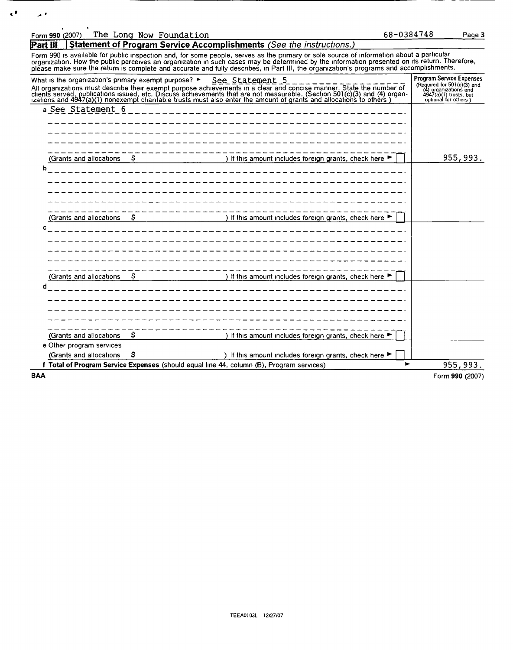| Form 990 (2007)                                                          | The Long Now Foundation |                                                                                                                                                                                                                                                                                                                                                                                                                                      | 68-0384748 |                                                                                                                                              | Page 3    |
|--------------------------------------------------------------------------|-------------------------|--------------------------------------------------------------------------------------------------------------------------------------------------------------------------------------------------------------------------------------------------------------------------------------------------------------------------------------------------------------------------------------------------------------------------------------|------------|----------------------------------------------------------------------------------------------------------------------------------------------|-----------|
| Part III                                                                 |                         | <b>Statement of Program Service Accomplishments (See the instructions.)</b>                                                                                                                                                                                                                                                                                                                                                          |            |                                                                                                                                              |           |
|                                                                          |                         | Form 990 is available for public inspection and, for some people, serves as the primary or sole source of information about a particular<br>organization. How the public perceives an organization in such cases may be determined by the information presented on its return. Therefore,<br>please make sure the return is complete and accurate and fully describes, in Part III, the organization's programs and accomplishments. |            |                                                                                                                                              |           |
| What is the organization's primary exempt purpose? $\blacktriangleright$ |                         | See Statement 5<br>All organizations must describe their exempt purpose achievements in a clear and concise manner. State the number of clients served, publications issued, etc. Discuss achievements that are not measurable. (Section 501(c)(3                                                                                                                                                                                    |            | <b>Program Service Expenses</b><br>(Required for 501 $(c)(3)$ and<br>(4) organizations and<br>4947(a)(1) trusts, but<br>optional for others) |           |
| a See Statement 6                                                        |                         |                                                                                                                                                                                                                                                                                                                                                                                                                                      |            |                                                                                                                                              |           |
|                                                                          |                         |                                                                                                                                                                                                                                                                                                                                                                                                                                      |            |                                                                                                                                              |           |
| (Grants and allocations                                                  |                         | If this amount includes foreign grants, check here                                                                                                                                                                                                                                                                                                                                                                                   |            |                                                                                                                                              | 955, 993. |
|                                                                          |                         |                                                                                                                                                                                                                                                                                                                                                                                                                                      |            |                                                                                                                                              |           |
|                                                                          |                         |                                                                                                                                                                                                                                                                                                                                                                                                                                      |            |                                                                                                                                              |           |
| (Grants and allocations                                                  | s                       | ) If this amount includes foreign grants, check here                                                                                                                                                                                                                                                                                                                                                                                 |            |                                                                                                                                              |           |
|                                                                          |                         |                                                                                                                                                                                                                                                                                                                                                                                                                                      |            |                                                                                                                                              |           |
|                                                                          |                         |                                                                                                                                                                                                                                                                                                                                                                                                                                      |            |                                                                                                                                              |           |
| (Grants and allocations                                                  | Ŝ                       | ) If this amount includes foreign grants, check here                                                                                                                                                                                                                                                                                                                                                                                 |            |                                                                                                                                              |           |
|                                                                          |                         |                                                                                                                                                                                                                                                                                                                                                                                                                                      |            |                                                                                                                                              |           |
|                                                                          |                         |                                                                                                                                                                                                                                                                                                                                                                                                                                      |            |                                                                                                                                              |           |
|                                                                          |                         |                                                                                                                                                                                                                                                                                                                                                                                                                                      |            |                                                                                                                                              |           |
| (Grants and allocations                                                  | Ŝ                       | ) If this amount includes foreign grants, check here $\blacktriangleright$                                                                                                                                                                                                                                                                                                                                                           |            |                                                                                                                                              |           |
| e Other program services<br>(Grants and allocations                      | \$                      | ) If this amount includes foreign grants, check here ▶                                                                                                                                                                                                                                                                                                                                                                               |            |                                                                                                                                              |           |
|                                                                          |                         | f Total of Program Service Expenses (should equal line 44, column (B), Program services)                                                                                                                                                                                                                                                                                                                                             | ь          |                                                                                                                                              | 955,993.  |

**BAA** 

 $\mathbf{C}^{\dagger}=\mathbf{A}^{\dagger}$ 

Form 990 (2007)

- ---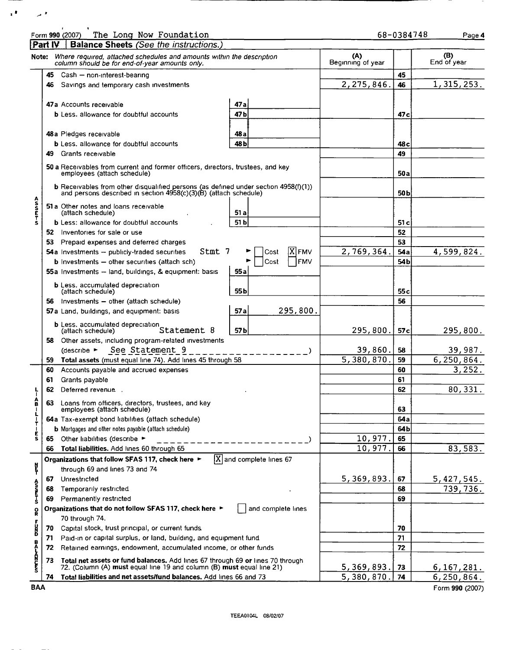|                 | PartIV | The Long Now Foundation<br>Form 990 (2007)<br><b>Balance Sheets (See the instructions.)</b>                                                                 |                                        |                          | 68-0384748      | Page 4             |
|-----------------|--------|-------------------------------------------------------------------------------------------------------------------------------------------------------------|----------------------------------------|--------------------------|-----------------|--------------------|
|                 |        | Note: Where required, attached schedules and amounts within the description<br>column should be for end-of-year amounts only.                               |                                        | (A)<br>Beginning of year |                 | (B)<br>End of year |
|                 |        | 45 Cash - non-interest-bearing                                                                                                                              |                                        |                          | 45              |                    |
|                 | 46     | Savings and temporary cash investments                                                                                                                      |                                        | 2,275,846.               | 46              | 1, 315, 253.       |
|                 |        | 47a Accounts receivable<br><b>b</b> Less. allowance for doubtful accounts                                                                                   | 47a<br>47 b                            |                          | 47 c            |                    |
|                 |        |                                                                                                                                                             |                                        |                          |                 |                    |
|                 |        | 48a Pledges receivable                                                                                                                                      | 48 a                                   |                          |                 |                    |
|                 |        | <b>b</b> Less, allowance for doubtful accounts                                                                                                              | 48 <sub>b</sub>                        |                          | 48 c            |                    |
|                 |        | 49 Grants receivable                                                                                                                                        |                                        |                          | 49              |                    |
|                 |        | 50 a Receivables from current and former officers, directors, trustees, and key<br>employees (attach schedule)                                              |                                        |                          | 50 a            |                    |
|                 |        | <b>b</b> Receivables from other disqualified persons (as defined under section 4958(f)(1)) and persons described in section 4958(c)(3)(B) (attach schedule) |                                        |                          | 50 b            |                    |
| <b>ASSETS</b>   |        | 51 a Other notes and loans receivable<br>(attach schedule)                                                                                                  | 51 a                                   |                          |                 |                    |
|                 |        | <b>b</b> Less: allowance for doubtful accounts                                                                                                              | 51 b                                   |                          | 51 c            |                    |
|                 |        | 52 Inventories for sale or use                                                                                                                              |                                        |                          | 52              |                    |
|                 |        | 53 Prepaid expenses and deferred charges                                                                                                                    |                                        |                          | 53              |                    |
|                 |        | Stmt 7<br>54a Investments - publicly-traded securities                                                                                                      | <b>X</b> FMV<br>Cost                   | 2,769,364                | 54 a            | 4,599,824.         |
|                 |        | <b>b</b> Investments $-$ other securities (attach sch)                                                                                                      | FMV<br>Cost                            |                          | 54 <sub>b</sub> |                    |
|                 |        | 55a Investments - land, buildings, & equipment: basis                                                                                                       | 55 a                                   |                          |                 |                    |
|                 |        | <b>b</b> Less, accumulated depreciation<br>(attach schedule)                                                                                                | 55 b                                   |                          | 55 c            |                    |
|                 |        | 56 Investments - other (attach schedule)                                                                                                                    |                                        |                          | 56              |                    |
|                 |        | 57a Land, buildings, and equipment: basis                                                                                                                   | 295,800.<br>57 a                       |                          |                 |                    |
|                 |        | <b>b</b> Less, accumulated depreciation<br>Statement 8                                                                                                      | 57b                                    | 295,800.                 | 57c             | 295,800.           |
|                 |        | 58 Other assets, including program-related investments                                                                                                      |                                        |                          |                 |                    |
|                 |        | See Statement 9<br>(describe ►                                                                                                                              |                                        | 39,860.                  | 58              | 39,987.            |
|                 | 59.    | Total assets (must equal line 74). Add lines 45 through 58                                                                                                  |                                        | 5,380,870.               | 59              | 6,250,864.         |
|                 | 60     | Accounts payable and accrued expenses                                                                                                                       |                                        |                          | 60              | 3,252.             |
|                 | 61     | Grants payable                                                                                                                                              |                                        |                          | 61              |                    |
|                 | 62     | Deferred revenue                                                                                                                                            |                                        |                          | 62              | 80, 331.           |
|                 |        |                                                                                                                                                             |                                        |                          |                 |                    |
| â               | 63     | Loans from officers, directors, trustees, and key<br>employees (attach schedule)                                                                            |                                        |                          | 63              |                    |
|                 |        | 64a Tax-exempt bond liabilities (attach schedule)                                                                                                           |                                        |                          | 64 a            |                    |
|                 |        | <b>b</b> Mortgages and other notes payable (attach schedule)                                                                                                |                                        |                          | 64 b            |                    |
| $\frac{1}{5}$   | 65 -   | Other liabilities (describe ►                                                                                                                               |                                        | 10,977.                  | 65              |                    |
|                 | 66     | Total liabilities. Add lines 60 through 65                                                                                                                  |                                        | 10,977.                  | 66              | 83,583.            |
|                 |        | Organizations that follow SFAS 117, check here ►                                                                                                            | $ \overline{X} $ and complete lines 67 |                          |                 |                    |
| ţ               |        | through 69 and lines 73 and 74                                                                                                                              |                                        |                          |                 |                    |
|                 | 67     | Unrestricted                                                                                                                                                |                                        | 5,369,893.               | 67              | 5,427,545.         |
| S<br>Apriliant  | 68     | Temporarily restricted                                                                                                                                      |                                        |                          | 68              | 739,736.           |
|                 | 69.    | Permanently restricted                                                                                                                                      |                                        |                          | 69              |                    |
|                 |        | Organizations that do not follow SFAS 117, check here ▶                                                                                                     | and complete lines                     |                          |                 |                    |
| $\frac{0}{R}$   |        | 70 through 74.                                                                                                                                              |                                        |                          |                 |                    |
| ۳<br>الم        | 70     | Capital stock, trust principal, or current funds.                                                                                                           |                                        |                          | 70              |                    |
|                 | 71     | Paid-in or capital surplus, or land, building, and equipment fund                                                                                           |                                        |                          | 71              |                    |
|                 | 72     | Retained earnings, endowment, accumulated income, or other funds                                                                                            |                                        |                          | 72              |                    |
|                 |        |                                                                                                                                                             |                                        |                          |                 |                    |
| <b>UNDEDFOR</b> | 73     | Total net assets or fund balances. Add lines 67 through 69 or lines 70 through<br>72. (Column (A) must equal line 19 and column (B) must equal line 21)     |                                        | 5,369,893.               | 73              | <u>6,167,281.</u>  |
|                 | 74     | Total liabilities and net assets/fund balances. Add lines 66 and 73                                                                                         |                                        | 5,380,870.               | 74              | 6,250,864.         |

 $\mathbf{r}^{\mathbf{1}}$  ,  $\mathbf{r}^{\mathbf{2}}$ 

BAA Form 990 (2007)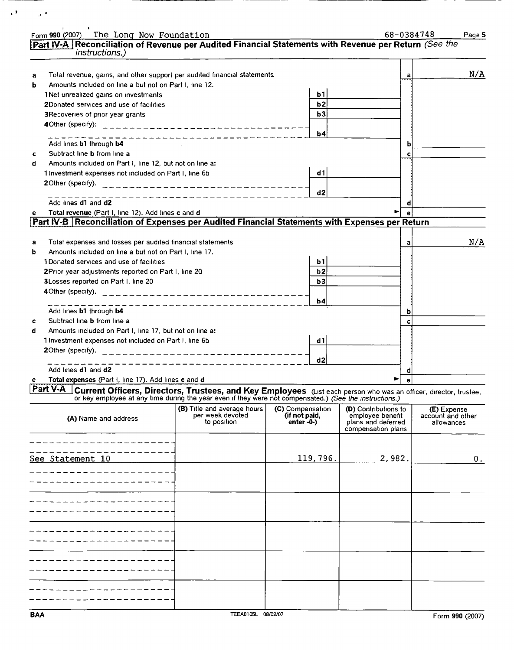|   | Form 990 (2007) The Long Now Foundation                                                                                                                                                                                               |                                 |                               |                                        | 68-0384748 | Page 5                          |
|---|---------------------------------------------------------------------------------------------------------------------------------------------------------------------------------------------------------------------------------------|---------------------------------|-------------------------------|----------------------------------------|------------|---------------------------------|
|   | Part IV-A Reconciliation of Revenue per Audited Financial Statements with Revenue per Return (See the<br><i>instructions.)</i>                                                                                                        |                                 |                               |                                        |            |                                 |
|   |                                                                                                                                                                                                                                       |                                 |                               |                                        |            |                                 |
| а | Total revenue, gains, and other support per audited financial statements                                                                                                                                                              |                                 |                               |                                        | а          | N/A                             |
| b | Amounts included on line a but not on Part I, line 12.                                                                                                                                                                                |                                 |                               |                                        |            |                                 |
|   | 1 Net unrealized gains on investments                                                                                                                                                                                                 |                                 | b1                            |                                        |            |                                 |
|   | 2Donated services and use of facilities                                                                                                                                                                                               |                                 | b2                            |                                        |            |                                 |
|   | 3 Recoveries of prior year grants                                                                                                                                                                                                     |                                 | b3                            |                                        |            |                                 |
|   | 40ther (specify): ______________________________                                                                                                                                                                                      |                                 | b4                            |                                        |            |                                 |
|   | Add lines b1 through b4                                                                                                                                                                                                               | -----------------               |                               |                                        |            |                                 |
| с | Subtract line <b>b</b> from line a                                                                                                                                                                                                    |                                 |                               |                                        | c          |                                 |
| d | Amounts included on Part I, line 12, but not on line a:                                                                                                                                                                               |                                 |                               |                                        |            |                                 |
|   | 1 Investment expenses not included on Part I, line 6b                                                                                                                                                                                 |                                 | d1                            |                                        |            |                                 |
|   | 20ther (specify). ________________________________                                                                                                                                                                                    |                                 |                               |                                        |            |                                 |
|   |                                                                                                                                                                                                                                       | -----------------------         | d2                            |                                        |            |                                 |
|   | Add lines d1 and d2                                                                                                                                                                                                                   |                                 |                               |                                        |            |                                 |
| е | Total revenue (Part I, line 12). Add lines c and d                                                                                                                                                                                    |                                 |                               |                                        |            |                                 |
|   | Part IV-B Reconciliation of Expenses per Audited Financial Statements with Expenses per Return                                                                                                                                        |                                 |                               |                                        |            |                                 |
| а | Total expenses and losses per audited financial statements                                                                                                                                                                            |                                 |                               |                                        | a          | N/A                             |
| b | Amounts included on line a but not on Part I, line 17.                                                                                                                                                                                |                                 |                               |                                        |            |                                 |
|   | 1Donated services and use of facilities                                                                                                                                                                                               |                                 | b1                            |                                        |            |                                 |
|   | 2Prior year adjustments reported on Part I, line 20                                                                                                                                                                                   |                                 | b2                            |                                        |            |                                 |
|   | 3Losses reported on Part I, line 20                                                                                                                                                                                                   |                                 | b3                            |                                        |            |                                 |
|   |                                                                                                                                                                                                                                       |                                 |                               |                                        |            |                                 |
|   |                                                                                                                                                                                                                                       |                                 | b4                            |                                        |            |                                 |
|   | Add lines b1 through b4                                                                                                                                                                                                               |                                 |                               |                                        |            |                                 |
| c | Subtract line <b>b</b> from line a                                                                                                                                                                                                    |                                 |                               |                                        | c          |                                 |
| d | Amounts included on Part I, line 17, but not on line a:                                                                                                                                                                               |                                 |                               |                                        |            |                                 |
|   | 1 Investment expenses not included on Part I, line 6b                                                                                                                                                                                 |                                 | d1                            |                                        |            |                                 |
|   | 20ther (specify). __________________________________                                                                                                                                                                                  |                                 |                               |                                        |            |                                 |
|   |                                                                                                                                                                                                                                       | __________________              | d2                            |                                        |            |                                 |
|   | Add lines <b>d1</b> and <b>d2</b>                                                                                                                                                                                                     |                                 |                               |                                        |            |                                 |
|   | Total expenses (Part I, line 17). Add lines c and d                                                                                                                                                                                   |                                 |                               |                                        |            |                                 |
|   | Part V-A Current Officers, Directors, Trustees, and Key Employees (List each person who was an officer, director, trustee,<br>or key employee at any time during the year even if they were not compensated.) (See the instructions.) |                                 |                               |                                        |            |                                 |
|   |                                                                                                                                                                                                                                       | (B) Title and average hours     | (C) Compensation              | (D) Contributions to                   |            | (E) Expense                     |
|   | (A) Name and address                                                                                                                                                                                                                  | per week devoted<br>to position | (if not paid,<br>$enter - 0-$ | employee benefit<br>plans and deferred |            | account and other<br>allowances |
|   |                                                                                                                                                                                                                                       |                                 |                               | compensation plans                     |            |                                 |
|   |                                                                                                                                                                                                                                       |                                 |                               |                                        |            |                                 |
|   | See Statement 10                                                                                                                                                                                                                      |                                 | 119,796.                      | 2,982.                                 |            | 0.                              |
|   |                                                                                                                                                                                                                                       |                                 |                               |                                        |            |                                 |
|   |                                                                                                                                                                                                                                       |                                 |                               |                                        |            |                                 |
|   |                                                                                                                                                                                                                                       |                                 |                               |                                        |            |                                 |
|   |                                                                                                                                                                                                                                       |                                 |                               |                                        |            |                                 |
|   |                                                                                                                                                                                                                                       |                                 |                               |                                        |            |                                 |
|   |                                                                                                                                                                                                                                       |                                 |                               |                                        |            |                                 |
|   |                                                                                                                                                                                                                                       |                                 |                               |                                        |            |                                 |
|   |                                                                                                                                                                                                                                       |                                 |                               |                                        |            |                                 |
|   |                                                                                                                                                                                                                                       |                                 |                               |                                        |            |                                 |
|   |                                                                                                                                                                                                                                       |                                 |                               |                                        |            |                                 |
|   |                                                                                                                                                                                                                                       |                                 |                               |                                        |            |                                 |
|   |                                                                                                                                                                                                                                       |                                 |                               |                                        |            |                                 |

 $\mathcal{O}(\sqrt{2})$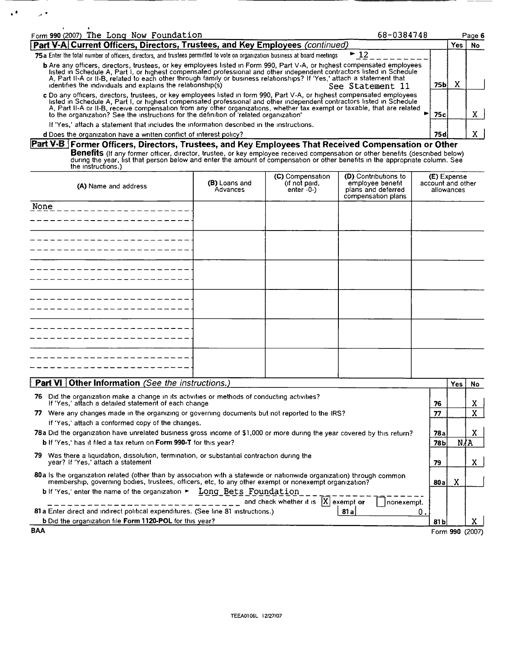| Form 990 (2007) The Long Now Foundation<br>68-0384748                                                                                                                                                                                                                                                                                                                                                                                                                   |      |   | Page 6 |  |
|-------------------------------------------------------------------------------------------------------------------------------------------------------------------------------------------------------------------------------------------------------------------------------------------------------------------------------------------------------------------------------------------------------------------------------------------------------------------------|------|---|--------|--|
| Part V-A Current Officers, Directors, Trustees, and Key Employees (continued)                                                                                                                                                                                                                                                                                                                                                                                           |      |   |        |  |
| $\blacktriangleright$ 12<br>75a Enter the total number of officers, directors, and trustees permitted to vote on organization business at board meetings                                                                                                                                                                                                                                                                                                                |      |   |        |  |
| <b>b</b> Are any officers, directors, trustees, or key employees listed in Form 990, Part V-A, or highest compensated employees<br>listed in Schedule A, Part I, or highest compensated professional and other independent contractors listed in Schedule<br>A, Part II-A or II-B, related to each other through family or business relationships? If 'Yes,' attach a statement that<br>identifies the individuals and explains the relationship(s)<br>See Statement 11 | 75bl | x |        |  |
| c Do any officers, directors, trustees, or key employees listed in form 990, Part V-A, or highest compensated employees<br>listed in Schedule A, Part I, or highest compensated professional and other independent contractors listed in Schedule<br>A, Part II-A or II-B, receive compensation from any other organizations, whether tax exempt or taxable, that are related<br>to the organization? See the instructions for the definition of 'related organization' | 75с. |   |        |  |
| If 'Yes,' attach a statement that includes the information described in the instructions.                                                                                                                                                                                                                                                                                                                                                                               |      |   |        |  |
| d Does the organization have a written conflict of interest policy?                                                                                                                                                                                                                                                                                                                                                                                                     | 75 d |   |        |  |

#### d Does the organization have a written conflict of interest policy?

Part V-B Former Officers, Directors, Trustees, and Key Employees That Received Compensation or Other **Benefits** (If any former officer, director, trustee, or key employee received compensation or other benefits (described below)<br>during the year, list that person below and enter the amount of compensation or other benefits

|  |  | the instructions.) |  |
|--|--|--------------------|--|
|  |  |                    |  |
|  |  |                    |  |

 $\cdot$ 

 $\lambda$  .

| (A) Name and address | (B) Loans and<br>Advances | (C) Compensation<br>(if not paid,<br>enter $-0$ -) | (D) Contributions to<br>employee benefit<br>plans and deferred<br>compensation plans | <b>(E)</b> Expense<br>account and other<br>allowances |
|----------------------|---------------------------|----------------------------------------------------|--------------------------------------------------------------------------------------|-------------------------------------------------------|
| None                 |                           |                                                    |                                                                                      |                                                       |
|                      |                           |                                                    |                                                                                      |                                                       |
|                      |                           |                                                    |                                                                                      |                                                       |
|                      |                           |                                                    |                                                                                      |                                                       |
|                      |                           |                                                    |                                                                                      |                                                       |
|                      |                           |                                                    |                                                                                      |                                                       |

| <b>Part VI</b> Other Information (See the instructions.)                                                                                                                                                                        |       | Yes:            | No. |
|---------------------------------------------------------------------------------------------------------------------------------------------------------------------------------------------------------------------------------|-------|-----------------|-----|
| Did the organization make a change in its activities or methods of conducting activities?<br>76<br>If 'Yes,' attach a detailed statement of each change                                                                         | 76    |                 | x   |
| Were any changes made in the organizing or governing documents but not reported to the IRS?<br>77.                                                                                                                              | 77    |                 | X   |
| If 'Yes,' attach a conformed copy of the changes.                                                                                                                                                                               |       |                 |     |
| 78a Did the organization have unrelated business gross income of \$1,000 or more during the year covered by this return?                                                                                                        | 78а   |                 | Λ.  |
| <b>b</b> If 'Yes,' has it filed a tax return on <b>Form 990-T</b> for this year?                                                                                                                                                | 78Ы   | N∕A             |     |
| Was there a liquidation, dissolution, termination, or substantial contraction during the<br>79<br>year? If 'Yes,' attach a statement                                                                                            | 79    |                 | X   |
| 80a is the organization related (other than by association with a statewide or nationwide organization) through common<br>membership, governing bodies, trustees, officers, etc, to any other exempt or nonexempt organization? | 80a   | x               |     |
| b If 'Yes,' enter the name of the organization > Long Bets Foundation<br>and check whether it is $[X]$ exempt or<br> nonexempt,                                                                                                 |       |                 |     |
| 81 a Enter direct and indirect political expenditures. (See line 81 instructions.)<br>81 a                                                                                                                                      | О.    |                 |     |
| <b>b</b> Did the organization file Form 1120-POL for this year?                                                                                                                                                                 | 81 bl |                 |     |
| <b>BAA</b>                                                                                                                                                                                                                      |       | Form 990 (2007) |     |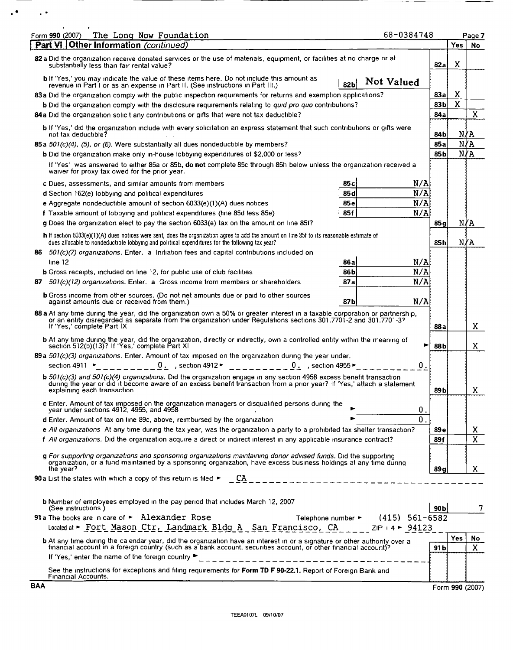| The Long Now Foundation<br>Form 990 (2007)                                                                                                                                                                                                                                                                                                                                     | 68-0384748                             |                  |            | Page 7                |
|--------------------------------------------------------------------------------------------------------------------------------------------------------------------------------------------------------------------------------------------------------------------------------------------------------------------------------------------------------------------------------|----------------------------------------|------------------|------------|-----------------------|
| Part VI   Other Information (continued)                                                                                                                                                                                                                                                                                                                                        |                                        |                  | <b>Yes</b> | No                    |
| 82 a Did the organization receive donated services or the use of materials, equipment, or facilities at no charge or at<br>substantially less than fair rental value?                                                                                                                                                                                                          |                                        | 82 a             | X          |                       |
| <b>b</b> If 'Yes,' you may indicate the value of these items here. Do not include this amount as<br>revenue in Part I or as an expense in Part II. (See instructions in Part III.)                                                                                                                                                                                             | Not Valued<br>82b                      |                  |            |                       |
| 83a Did the organization comply with the public inspection requirements for returns and exemption applications?                                                                                                                                                                                                                                                                |                                        | 83a              | X          |                       |
| b Did the organization comply with the disclosure requirements relating to quid pro quo contributions?                                                                                                                                                                                                                                                                         |                                        | 83 b             | X          |                       |
| 84a Did the organization solicit any contributions or gifts that were not tax deductible?                                                                                                                                                                                                                                                                                      |                                        | 84 a             |            | X                     |
| b If 'Yes,' did the organization include with every solicitation an express statement that such contributions or gifts were<br>not tax deductible?                                                                                                                                                                                                                             |                                        | 84 b             |            | N/A                   |
| 85a 501(c)(4), (5), or (6). Were substantially all dues nondeductible by members?                                                                                                                                                                                                                                                                                              |                                        | 85a              |            | N/A                   |
| <b>b</b> Did the organization make only in-house lobbying expenditures of \$2,000 or less?                                                                                                                                                                                                                                                                                     |                                        | 85b              |            | N/A                   |
| If 'Yes' was answered to either 85a or 85b, do not complete 85c through 85h below unless the organization received a<br>waiver for proxy tax owed for the prior year.                                                                                                                                                                                                          |                                        |                  |            |                       |
| c Dues, assessments, and similar amounts from members                                                                                                                                                                                                                                                                                                                          | 85 с                                   | N/A              |            |                       |
| d Section 162(e) lobbying and political expenditures                                                                                                                                                                                                                                                                                                                           | 85 d                                   | N/A              |            |                       |
| e Aggregate nondeductible amount of section 6033(e)(1)(A) dues notices                                                                                                                                                                                                                                                                                                         | 85 е                                   | N/A              |            |                       |
| f Taxable amount of lobbying and political expenditures (line 85d less 85e)                                                                                                                                                                                                                                                                                                    | 85f                                    | N/A              |            |                       |
| g Does the organization elect to pay the section 6033(e) tax on the amount on line 85f?                                                                                                                                                                                                                                                                                        |                                        | 85g              |            | NYA                   |
| h If section 6033(e)(1)(A) dues notices were sent, does the organization agree to add the amount on line 85f to its reasonable estimate of<br>dues allocable to nondeductible lobbying and political expenditures for the following tax year?                                                                                                                                  |                                        | 85 h             |            | N/A                   |
| 86 501(c)(7) organizations. Enter, a Initiation fees and capital contributions included on                                                                                                                                                                                                                                                                                     |                                        |                  |            |                       |
| line $12$                                                                                                                                                                                                                                                                                                                                                                      | 86a                                    | N/A              |            |                       |
| <b>b</b> Gross receipts, included on line 12, for public use of club facilities                                                                                                                                                                                                                                                                                                | 86 b                                   | N/A              |            |                       |
| 87 501(c)(12) organizations. Enter. a Gross income from members or shareholders.                                                                                                                                                                                                                                                                                               | 87a                                    | N/A              |            |                       |
| <b>b</b> Gross income from other sources. (Do not net amounts due or paid to other sources<br>against amounts due or received from them.)                                                                                                                                                                                                                                      | 87b                                    | N/Al             |            |                       |
| 88 a At any time during the year, did the organization own a 50% or greater interest in a taxable corporation or partnership,<br>or an entity disregarded as separate from the organization under Regulations sections 301.7701-2 and 301.7701-37<br>If 'Yes,' complete Part IX                                                                                                |                                        | 88 a             |            | X                     |
| <b>b</b> At any time during the year, did the organization, directly or indirectly, own a controlled entity within the meaning of section 512(b)(13)? If 'Yes,' complete Part XI                                                                                                                                                                                               |                                        | 88b<br>►         |            | X.                    |
| 89 a 501(c)(3) organizations. Enter. Amount of tax imposed on the organization during the year under.                                                                                                                                                                                                                                                                          |                                        |                  |            |                       |
| 0. $,$ section 4912 $\blacktriangleright$<br>section 4911 ►<br>0., section 4955 $\blacktriangleright$                                                                                                                                                                                                                                                                          |                                        | 0.               |            |                       |
| b 501(c)(3) and 501(c)(4) organizations. Did the organization engage in any section 4958 excess benefit transaction<br>during the year or did it become aware of an excess benefit transaction from a prior year? If 'Yes,' attach a statement<br>explaining each transaction                                                                                                  |                                        | 89 b             |            | X                     |
| c Enter. Amount of tax imposed on the organization managers or disqualified persons during the<br>year under sections 4912, 4955, and 4958                                                                                                                                                                                                                                     |                                        | О.               |            |                       |
| <b>d</b> Enter. Amount of tax on line 89c, above, reimbursed by the organization                                                                                                                                                                                                                                                                                               |                                        | $\overline{0}$ . |            |                       |
| e All organizations At any time during the tax year, was the organization a party to a prohibited tax shelter transaction?                                                                                                                                                                                                                                                     |                                        | 89 e             |            | X,                    |
| f All organizations. Did the organization acquire a direct or indirect interest in any applicable insurance contract?                                                                                                                                                                                                                                                          |                                        | 89f              |            | $\overline{\text{x}}$ |
| g For supporting organizations and sponsoring organizations maintaining donor advised funds. Did the supporting<br>organization, or a fund maintained by a sponsoring organization, have excess business holdings at any time during                                                                                                                                           |                                        |                  |            |                       |
| the year?<br>90 a List the states with which a copy of this return is filed $\triangleright$ $\underline{CA}$ $\underline{CA}$ $\underline{C}$ $\underline{A}$ $\underline{C}$ $\underline{C}$ $\underline{C}$ $\underline{C}$ $\underline{C}$ $\underline{C}$ $\underline{C}$ $\underline{C}$ $\underline{C}$ $\underline{C}$ $\underline{C}$ $\underline{C}$ $\underline{C}$ |                                        | 89 a             |            | X.                    |
|                                                                                                                                                                                                                                                                                                                                                                                |                                        |                  |            |                       |
| b Number of employees employed in the pay period that includes March 12, 2007<br>(See instructions)                                                                                                                                                                                                                                                                            |                                        | 90Ы              |            | 7                     |
| 91a The books are in care of > Alexander Rose                                                                                                                                                                                                                                                                                                                                  | Telephone number $\sim$ (415) 561-6582 |                  |            |                       |
| Located at > Fort Mason Ctr, Landmark Bldg A San Francisco, CA ZIP + 4 > 94123                                                                                                                                                                                                                                                                                                 |                                        |                  |            |                       |
| <b>b</b> At any time during the calendar year, did the organization have an interest in or a signature or other authority over a financial account in a foreign country (such as a bank account, securities account, or other finan                                                                                                                                            |                                        |                  | <b>Yes</b> | No                    |
| If 'Yes,' enter the name of the foreign country ▶<br>--------------------------------                                                                                                                                                                                                                                                                                          |                                        | 91b              |            | $\mathbf{x}$          |
| See the instructions for exceptions and filing requirements for Form TD F 90-22.1, Report of Foreign Bank and<br>Financial Accounts.                                                                                                                                                                                                                                           |                                        |                  |            |                       |
| <b>BAA</b>                                                                                                                                                                                                                                                                                                                                                                     |                                        |                  |            | Form 990 (2007)       |

 $-$ 

---

 $\mathcal{A}^{\bullet}$  , and  $\mathcal{A}^{\bullet}$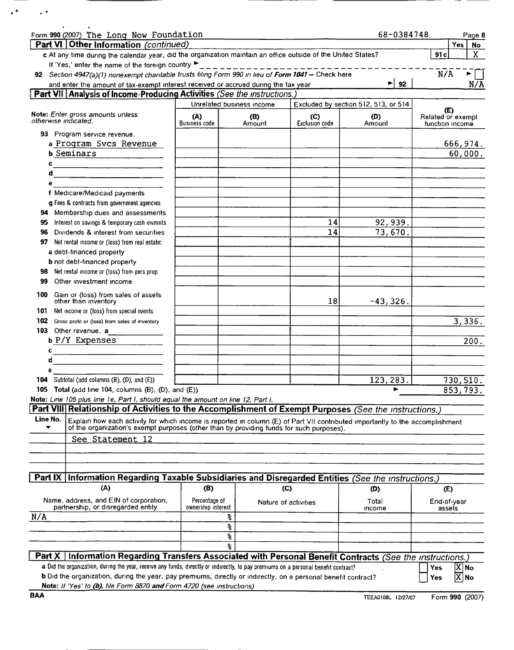| Form 990 (2007) The Long Now Foundation                                                                                                                                                                                                            |                                     |                           |                              | 68-0384748                           |                                      | Page 8                                 |
|----------------------------------------------------------------------------------------------------------------------------------------------------------------------------------------------------------------------------------------------------|-------------------------------------|---------------------------|------------------------------|--------------------------------------|--------------------------------------|----------------------------------------|
| Part VI Other Information (continued)                                                                                                                                                                                                              |                                     |                           |                              |                                      | Yes                                  | No                                     |
| c At any time during the calendar year, did the organization maintain an office outside of the United States?                                                                                                                                      |                                     |                           |                              |                                      | 91c                                  | X.                                     |
| If 'Yes,' enter the name of the foreign country ▶                                                                                                                                                                                                  |                                     |                           |                              |                                      |                                      |                                        |
| 92 Section 4947(a)(1) nonexempt charitable trusts filing Form 990 in lieu of Form 1041 - Check here                                                                                                                                                |                                     |                           |                              |                                      | N/A                                  |                                        |
| and enter the amount of tax-exempt interest received or accrued during the tax year                                                                                                                                                                |                                     |                           |                              | $\blacktriangleright$ 92             |                                      | N/A                                    |
| <b>Part VII Analysis of Income-Producing Activities (See the instructions.)</b>                                                                                                                                                                    |                                     |                           |                              |                                      |                                      |                                        |
|                                                                                                                                                                                                                                                    |                                     | Unrelated business income |                              | Excluded by section 512, 513, or 514 | (E)                                  |                                        |
| Note: Enter gross amounts unless<br>otherwise indicated.                                                                                                                                                                                           | (A)<br>Business code                | (B)<br>Amount             | (C)<br><b>Exclusion code</b> | (D)<br>Amount                        | Related or exempt<br>function income |                                        |
| 93 Program service revenue.                                                                                                                                                                                                                        |                                     |                           |                              |                                      |                                      |                                        |
| a Program Svcs Revenue                                                                                                                                                                                                                             |                                     |                           |                              |                                      |                                      | 666,974.                               |
| <b>b</b> Seminars                                                                                                                                                                                                                                  |                                     |                           |                              |                                      |                                      | 60,000.                                |
| c<br>d                                                                                                                                                                                                                                             |                                     |                           |                              |                                      |                                      |                                        |
| <u> Liste de la construcción de la construcción de la construcción de la construcción de la construcción de la c</u><br>е                                                                                                                          |                                     |                           |                              |                                      |                                      |                                        |
| f Medicare/Medicaid payments                                                                                                                                                                                                                       |                                     |                           |                              |                                      |                                      |                                        |
| g Fees & contracts from government agencies                                                                                                                                                                                                        |                                     |                           |                              |                                      |                                      |                                        |
| Membership dues and assessments<br>94                                                                                                                                                                                                              |                                     |                           |                              |                                      |                                      |                                        |
| Interest on savings & temporary cash invmnts<br>95                                                                                                                                                                                                 |                                     |                           | 14                           | 92, 939.                             |                                      |                                        |
| 96<br>Dividends & interest from securities                                                                                                                                                                                                         |                                     |                           | 14                           | 73,670.                              |                                      |                                        |
| 97<br>Net rental income or (loss) from real estate:                                                                                                                                                                                                |                                     |                           |                              |                                      |                                      |                                        |
| a debt-financed property                                                                                                                                                                                                                           |                                     |                           |                              |                                      |                                      |                                        |
| <b>b</b> not debt-financed property                                                                                                                                                                                                                |                                     |                           |                              |                                      |                                      |                                        |
| Net rental income or (loss) from pers prop<br>98                                                                                                                                                                                                   |                                     |                           |                              |                                      |                                      |                                        |
| 99<br>Other investment income                                                                                                                                                                                                                      |                                     |                           |                              |                                      |                                      |                                        |
| Gain or (loss) from sales of assets<br>100<br>other than inventory                                                                                                                                                                                 |                                     |                           | 18                           | $-43,326.$                           |                                      |                                        |
| Net income or (loss) from special events<br>101                                                                                                                                                                                                    |                                     |                           |                              |                                      |                                      |                                        |
| 102<br>Gross profit or (loss) from sales of inventory<br>103<br>Other revenue, a                                                                                                                                                                   |                                     |                           |                              |                                      |                                      | 3,336.                                 |
| b P/Y Expenses                                                                                                                                                                                                                                     |                                     |                           |                              |                                      |                                      | 200.                                   |
| c                                                                                                                                                                                                                                                  |                                     |                           |                              |                                      |                                      |                                        |
| d                                                                                                                                                                                                                                                  |                                     |                           |                              |                                      |                                      |                                        |
| е                                                                                                                                                                                                                                                  |                                     |                           |                              |                                      |                                      |                                        |
| Subtotal (add columns (B), (D), and (E))<br>104                                                                                                                                                                                                    |                                     |                           |                              | 123, 283.                            |                                      | 730,510.                               |
| 105 Total (add line 104, columns (B), (D), and (E)).                                                                                                                                                                                               |                                     |                           |                              | ►                                    |                                      | 853,793.                               |
| Note: Line 105 plus line 1e, Part I, should equal the amount on line 12, Part I.                                                                                                                                                                   |                                     |                           |                              |                                      |                                      |                                        |
| Part VIII Relationship of Activities to the Accomplishment of Exempt Purposes (See the instructions.)                                                                                                                                              |                                     |                           |                              |                                      |                                      |                                        |
| Line No.<br>Explain how each activity for which income is reported in column (E) of Part VII contributed importantly to the accomplishment<br>of the organization's exempt purposes (other than by providing funds for such purposes).             |                                     |                           |                              |                                      |                                      |                                        |
| See Statement 12                                                                                                                                                                                                                                   |                                     |                           |                              |                                      |                                      |                                        |
|                                                                                                                                                                                                                                                    |                                     |                           |                              |                                      |                                      |                                        |
|                                                                                                                                                                                                                                                    |                                     |                           |                              |                                      |                                      |                                        |
|                                                                                                                                                                                                                                                    |                                     |                           |                              |                                      |                                      |                                        |
| Part IX Information Regarding Taxable Subsidiaries and Disregarded Entities (See the instructions.)                                                                                                                                                |                                     |                           |                              |                                      |                                      |                                        |
| (A)                                                                                                                                                                                                                                                | (B)                                 |                           | (C)                          | (D)                                  | (E)                                  |                                        |
| Name, address, and EIN of corporation,<br>partnership, or disregarded entity                                                                                                                                                                       | Percentage of<br>ownership interest |                           | Nature of activities         | Total<br>income                      | End-of-year<br>assets                |                                        |
| N/A                                                                                                                                                                                                                                                |                                     | s,                        |                              |                                      |                                      |                                        |
|                                                                                                                                                                                                                                                    |                                     | ş                         |                              |                                      |                                      |                                        |
|                                                                                                                                                                                                                                                    |                                     | ş                         |                              |                                      |                                      |                                        |
|                                                                                                                                                                                                                                                    |                                     | 움                         |                              |                                      |                                      |                                        |
| Part X   Information Regarding Transfers Associated with Personal Benefit Contracts (See the instructions.)<br>a Did the organization, during the year, receive any funds, directly or indirectly, to pay premiums on a personal benefit contract? |                                     |                           |                              |                                      |                                      |                                        |
| b Did the organization, during the year, pay premiums, directly or indirectly, on a personal benefit contract?                                                                                                                                     |                                     |                           |                              |                                      | <b>Yes</b><br>Yes                    | $\overline{X}$ No<br>$\overline{X}$ No |
| Note: If 'Yes' to (b), file Form 8870 and Form 4720 (see instructions)                                                                                                                                                                             |                                     |                           |                              |                                      |                                      |                                        |

 $\mathcal{A}^{\mathcal{A}}$  , and  $\mathcal{A}^{\mathcal{A}}$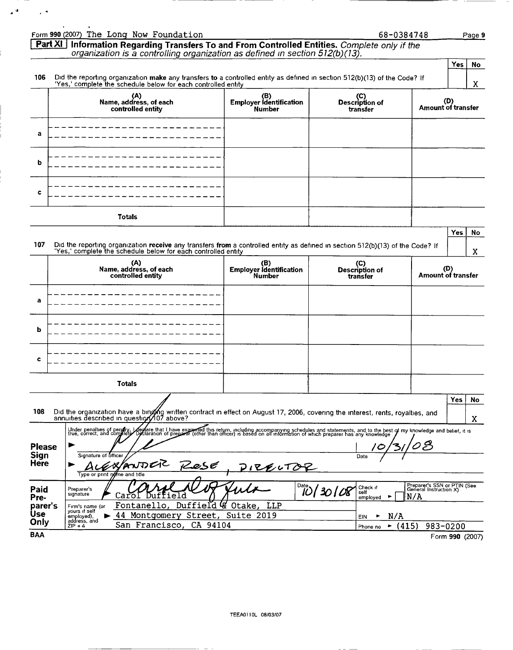|                                                                                                                                                               | Form 990 (2007) The Long Now Foundation                                                                                                                                                                                           |                                                 | 68-0384748                                |                            |                 | Page 9                                                |
|---------------------------------------------------------------------------------------------------------------------------------------------------------------|-----------------------------------------------------------------------------------------------------------------------------------------------------------------------------------------------------------------------------------|-------------------------------------------------|-------------------------------------------|----------------------------|-----------------|-------------------------------------------------------|
|                                                                                                                                                               | Part XI Information Regarding Transfers To and From Controlled Entities. Complete only if the<br>organization is a controlling organization as defined in section 512(b)(13).                                                     |                                                 |                                           |                            |                 |                                                       |
|                                                                                                                                                               |                                                                                                                                                                                                                                   |                                                 |                                           |                            | Yes             | No                                                    |
| 106                                                                                                                                                           | Did the reporting organization make any transfers to a controlled entity as defined in section 512(b)(13) of the Code? If<br>'Yes,' complete the schedule below for each controlled entity                                        |                                                 |                                           |                            |                 | X                                                     |
|                                                                                                                                                               | (A)<br>Name, address, of each<br>controlled entity                                                                                                                                                                                | (B)<br>Employer Identification<br><b>Number</b> | (C)<br>Description of<br>transfer         | (D)<br>Amount of transfer  |                 |                                                       |
| a                                                                                                                                                             |                                                                                                                                                                                                                                   |                                                 |                                           |                            |                 |                                                       |
| b                                                                                                                                                             |                                                                                                                                                                                                                                   |                                                 |                                           |                            |                 |                                                       |
| c                                                                                                                                                             |                                                                                                                                                                                                                                   |                                                 |                                           |                            |                 |                                                       |
|                                                                                                                                                               | Totals                                                                                                                                                                                                                            |                                                 |                                           |                            |                 |                                                       |
| 107                                                                                                                                                           | Did the reporting organization receive any transfers from a controlled entity as defined in section 512(b)(13) of the Code? If<br>'Yes,' complete the schedule below for each controlled entity                                   |                                                 |                                           |                            | Yes             | No<br>X                                               |
|                                                                                                                                                               | (A)<br>(B)<br>(C)<br>Description of<br>Name, address, of each<br><b>Employer Identification</b><br>controlled entity<br><b>Number</b><br>transfer                                                                                 |                                                 |                                           |                            |                 | <b>Amount of transfer</b>                             |
| a                                                                                                                                                             |                                                                                                                                                                                                                                   |                                                 |                                           |                            |                 |                                                       |
| ь                                                                                                                                                             |                                                                                                                                                                                                                                   |                                                 |                                           |                            |                 |                                                       |
| c                                                                                                                                                             |                                                                                                                                                                                                                                   |                                                 |                                           |                            |                 |                                                       |
|                                                                                                                                                               | Totals                                                                                                                                                                                                                            |                                                 |                                           |                            |                 |                                                       |
| 108                                                                                                                                                           | Did the organization have a binging written contract in effect on August 17, 2006, covering the interest, rents, royalties, and<br>annuities described in question 107 above?                                                     |                                                 |                                           |                            | Yes             | No<br>X                                               |
| <b>Please</b>                                                                                                                                                 | Under penalties of perufry, i depare that I have exammed this return, including accompanying schedules and statements, and to the best of my knowledge and belief, it is<br>true, correct, and complete Opclaration of preparer ( |                                                 |                                           | $\boldsymbol{\mathcal{Z}}$ |                 |                                                       |
| Sign<br><b>Here</b>                                                                                                                                           | Signature of officer<br>EXPANDER<br>fles€<br>Type or print reme and title                                                                                                                                                         | 1RENTOR                                         | Date                                      |                            |                 |                                                       |
| $\frac{Date}{D}$ 30   08<br>Check if<br>Paid<br>Preparer's<br>self<br>signature<br>Carol<br>е<br>Ιd<br>υu<br>N/A<br>Pre-<br>employed<br>Duffield & Otake, LLP |                                                                                                                                                                                                                                   |                                                 |                                           |                            |                 | Preparer's SSN or PTIN (See<br>General Instruction X) |
| parer's<br><b>Use</b><br>Only                                                                                                                                 | Fontanello,<br>Firm's name (or<br>yours if self<br>Montgomery Street, Suite 2019<br>44<br>employed),<br>address, and<br>CA 94104<br>San Francisco,<br>$ZIP + 4$                                                                   |                                                 | N/A<br>▶<br>EIN<br>(415)<br>٠<br>Phone no | 983-0200                   |                 |                                                       |
| <b>BAA</b>                                                                                                                                                    |                                                                                                                                                                                                                                   |                                                 |                                           |                            | Form 990 (2007) |                                                       |

 $\mathbb{Z}^{d}$  ,  $\mathbb{Z}^{d}$ 

ĺ.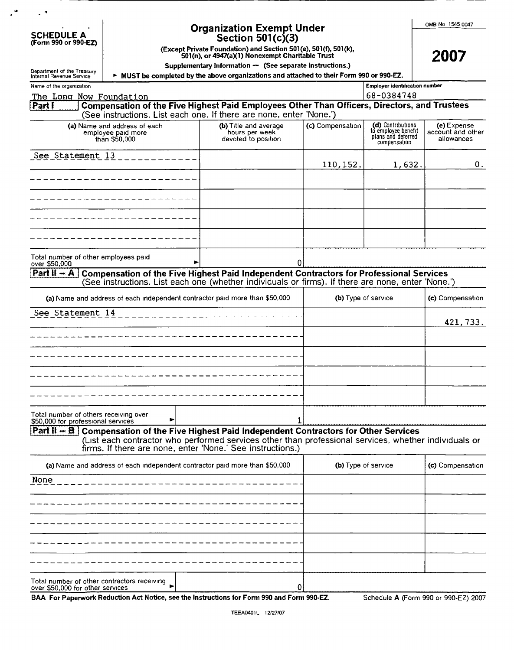| <b>Organization Exempt Under</b><br><b>SCHEDULE A</b><br>Section $501(c)(3)$<br>(Form 990 or 990-EZ)<br>(Except Private Foundation) and Section 501(e), 501(f), 501(k),<br>501(n), or 4947(a)(1) Nonexempt Charitable Trust<br>Supplementary Information $-$ (See separate instructions.)<br>Department of the Treasury |                                                                             |  |                                                                                                                                                                                                                                                                            |                  |                                                                                | OMB No 1545 0047<br>2007                       |
|-------------------------------------------------------------------------------------------------------------------------------------------------------------------------------------------------------------------------------------------------------------------------------------------------------------------------|-----------------------------------------------------------------------------|--|----------------------------------------------------------------------------------------------------------------------------------------------------------------------------------------------------------------------------------------------------------------------------|------------------|--------------------------------------------------------------------------------|------------------------------------------------|
| Internal Revenue Service                                                                                                                                                                                                                                                                                                |                                                                             |  | > MUST be completed by the above organizations and attached to their Form 990 or 990-EZ.                                                                                                                                                                                   |                  |                                                                                |                                                |
| Name of the organization<br>The Long Now Foundation                                                                                                                                                                                                                                                                     |                                                                             |  |                                                                                                                                                                                                                                                                            |                  | Employer identification number<br>68-0384748                                   |                                                |
| Part F                                                                                                                                                                                                                                                                                                                  |                                                                             |  | Compensation of the Five Highest Paid Employees Other Than Officers, Directors, and Trustees<br>(See instructions. List each one. If there are none, enter 'None.')                                                                                                        |                  |                                                                                |                                                |
|                                                                                                                                                                                                                                                                                                                         | (a) Name and address of each<br>employee paid more<br>thán \$50,000         |  | (b) Title and average<br>hours per week<br>devoted to position                                                                                                                                                                                                             | (c) Compensation | (d) Contributions<br>to employee benefit<br>plans and deferred<br>compensation | (e) Expense<br>account and other<br>allowances |
| See Statement 13                                                                                                                                                                                                                                                                                                        |                                                                             |  |                                                                                                                                                                                                                                                                            | 110,152.         | 1,632.                                                                         | 0.                                             |
|                                                                                                                                                                                                                                                                                                                         |                                                                             |  |                                                                                                                                                                                                                                                                            |                  |                                                                                |                                                |
|                                                                                                                                                                                                                                                                                                                         |                                                                             |  |                                                                                                                                                                                                                                                                            |                  |                                                                                |                                                |
|                                                                                                                                                                                                                                                                                                                         |                                                                             |  |                                                                                                                                                                                                                                                                            |                  |                                                                                |                                                |
|                                                                                                                                                                                                                                                                                                                         |                                                                             |  |                                                                                                                                                                                                                                                                            |                  |                                                                                |                                                |
| Total number of other employees paid<br>over \$50,000                                                                                                                                                                                                                                                                   |                                                                             |  | 0                                                                                                                                                                                                                                                                          |                  |                                                                                |                                                |
| Part $H - A$                                                                                                                                                                                                                                                                                                            |                                                                             |  | Compensation of the Five Highest Paid Independent Contractors for Professional Services<br>(See instructions. List each one (whether individuals or firms). If there are none, enter 'None.')                                                                              |                  |                                                                                |                                                |
|                                                                                                                                                                                                                                                                                                                         | (a) Name and address of each independent contractor paid more than \$50,000 |  |                                                                                                                                                                                                                                                                            |                  | (b) Type of service                                                            | (c) Compensation                               |
| See Statement 14                                                                                                                                                                                                                                                                                                        |                                                                             |  |                                                                                                                                                                                                                                                                            |                  |                                                                                | 421,733.                                       |
|                                                                                                                                                                                                                                                                                                                         |                                                                             |  |                                                                                                                                                                                                                                                                            |                  |                                                                                |                                                |
|                                                                                                                                                                                                                                                                                                                         |                                                                             |  |                                                                                                                                                                                                                                                                            |                  |                                                                                |                                                |
|                                                                                                                                                                                                                                                                                                                         |                                                                             |  |                                                                                                                                                                                                                                                                            |                  |                                                                                |                                                |
|                                                                                                                                                                                                                                                                                                                         |                                                                             |  |                                                                                                                                                                                                                                                                            |                  |                                                                                |                                                |
|                                                                                                                                                                                                                                                                                                                         |                                                                             |  |                                                                                                                                                                                                                                                                            |                  |                                                                                |                                                |
| Total number of others receiving over<br>\$50,000 for professional services                                                                                                                                                                                                                                             |                                                                             |  | 1                                                                                                                                                                                                                                                                          |                  |                                                                                |                                                |
|                                                                                                                                                                                                                                                                                                                         |                                                                             |  | <b>Part II – B</b> Compensation of the Five Highest Paid Independent Contractors for Other Services<br>(List each contractor who performed services other than professional services, whether individuals or<br>firms. If there are none, enter 'None.' See instructions.) |                  |                                                                                |                                                |
|                                                                                                                                                                                                                                                                                                                         | (a) Name and address of each independent contractor paid more than \$50,000 |  |                                                                                                                                                                                                                                                                            |                  | (b) Type of service                                                            | (c) Compensation                               |
| None                                                                                                                                                                                                                                                                                                                    |                                                                             |  |                                                                                                                                                                                                                                                                            |                  |                                                                                |                                                |
|                                                                                                                                                                                                                                                                                                                         |                                                                             |  |                                                                                                                                                                                                                                                                            |                  |                                                                                |                                                |
|                                                                                                                                                                                                                                                                                                                         |                                                                             |  |                                                                                                                                                                                                                                                                            |                  |                                                                                |                                                |
|                                                                                                                                                                                                                                                                                                                         |                                                                             |  |                                                                                                                                                                                                                                                                            |                  |                                                                                |                                                |
|                                                                                                                                                                                                                                                                                                                         |                                                                             |  |                                                                                                                                                                                                                                                                            |                  |                                                                                |                                                |
| over \$50,000 for other services                                                                                                                                                                                                                                                                                        | Total number of other contractors receiving                                 |  | 0                                                                                                                                                                                                                                                                          |                  |                                                                                |                                                |

BAA For Paperwork Reduction Act Notice, see the Instructions for Form 990 and Form 990-EZ.

 $\mathcal{L}^{\bullet}$ 

 $\sim$   $\sim$ 

Schedule A (Form 990 or 990-EZ) 2007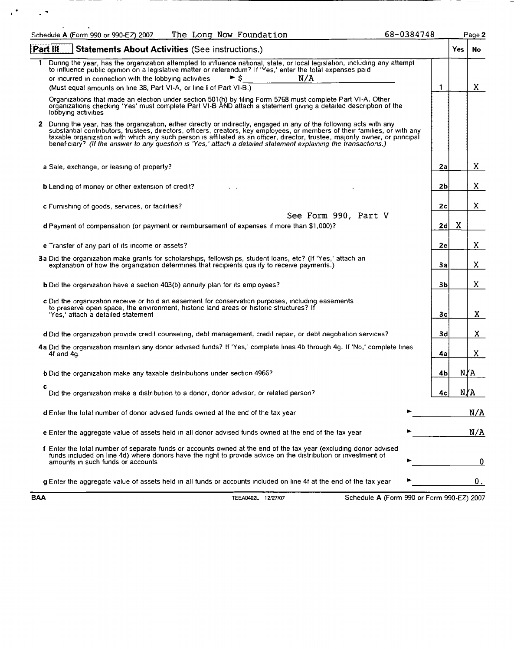| The Long Now Foundation<br>Schedule A (Form 990 or 990-EZ) 2007                                                                                                                                                                                                                                                                                                                                                                                                                                         | 68-0384748     |      | Page 2 |
|---------------------------------------------------------------------------------------------------------------------------------------------------------------------------------------------------------------------------------------------------------------------------------------------------------------------------------------------------------------------------------------------------------------------------------------------------------------------------------------------------------|----------------|------|--------|
| Part III<br><b>Statements About Activities (See instructions.)</b>                                                                                                                                                                                                                                                                                                                                                                                                                                      |                | Yes: | No.    |
| During the year, has the organization attempted to influence national, state, or local legislation, including any attempt<br>1<br>to influence public opinion on a legislative matter or referendum? If 'Yes,' enter the total expenses paid<br>N/A<br>► s<br>or incurred in connection with the lobbying activities<br>(Must equal amounts on line 38, Part VI-A, or line i of Part VI-B.)                                                                                                             | $\mathbf{1}$   |      | X.     |
| Organizations that made an election under section 501(h) by filing Form 5768 must complete Part VI-A. Other<br>organizations checking 'Yes' must complete Part VI-B AND attach a statement giving a detailed description of the<br>lobbying activities                                                                                                                                                                                                                                                  |                |      |        |
| 2 During the year, has the organization, either directly or indirectly, engaged in any of the following acts with any<br>substantial contributors, trustees, directors, officers, creators, key employees, or members of their families, or with any<br>taxable organization with which any such person is affiliated as an officer, director, trustee, majority owner, or principal<br>beneficiary? (If the answer to any question is 'Yes,' attach a detailed statement explaining the transactions.) |                |      |        |
| a Sale, exchange, or leasing of property?                                                                                                                                                                                                                                                                                                                                                                                                                                                               | 2a             |      | X.     |
| <b>b</b> Lending of money or other extension of credit?                                                                                                                                                                                                                                                                                                                                                                                                                                                 | 2 <sub>b</sub> |      | X.     |
| c Furnishing of goods, services, or facilities?<br>See Form 990, Part V                                                                                                                                                                                                                                                                                                                                                                                                                                 | 2c             |      | X.     |
| d Payment of compensation (or payment or reimbursement of expenses if more than \$1,000)?                                                                                                                                                                                                                                                                                                                                                                                                               | 2d             | X    |        |
| e Transfer of any part of its income or assets?                                                                                                                                                                                                                                                                                                                                                                                                                                                         | 2e             |      | X.     |
| 3a Did the organization make grants for scholarships, fellowships, student loans, etc? (If 'Yes,' attach an<br>explanation of how the organization determines that recipients qualify to receive payments.)                                                                                                                                                                                                                                                                                             | За             |      | X.     |
| <b>b</b> Did the organization have a section 403(b) annuity plan for its employees?                                                                                                                                                                                                                                                                                                                                                                                                                     | Зb             |      | X.     |
| c Did the organization receive or hold an easement for conservation purposes, including easements<br>to preserve open space, the environment, historic land areas or historic structures? If<br>'Yes,' attach a detailed statement                                                                                                                                                                                                                                                                      | 3c             |      | X.     |
| d Did the organization provide credit counseling, debt management, credit repair, or debt negotiation services?                                                                                                                                                                                                                                                                                                                                                                                         | 3d             |      | X      |
| 4a Did the organization maintain any donor advised funds? If 'Yes,' complete lines 4b through 4g. If 'No,' complete lines<br>4f and 4q                                                                                                                                                                                                                                                                                                                                                                  | 4a             |      | X.     |
| <b>b</b> Did the organization make any taxable distributions under section 4966?                                                                                                                                                                                                                                                                                                                                                                                                                        | 4b             |      | N∤A    |
| c<br>Did the organization make a distribution to a donor, donor advisor, or related person?                                                                                                                                                                                                                                                                                                                                                                                                             | 4c             |      | N∤A    |
| d Enter the total number of donor advised funds owned at the end of the tax year                                                                                                                                                                                                                                                                                                                                                                                                                        |                |      | N/A    |
| e Enter the aggregate value of assets held in all donor advised funds owned at the end of the tax year                                                                                                                                                                                                                                                                                                                                                                                                  |                |      | N/A    |
| f Enter the total number of separate funds or accounts owned at the end of the tax year (excluding donor advised<br>funds included on line 4d) where donors have the right to provide advice on the distribution or investment of<br>amounts in such funds or accounts                                                                                                                                                                                                                                  |                |      | 0      |
| g Enter the aggregate value of assets held in all funds or accounts included on line 4f at the end of the tax year                                                                                                                                                                                                                                                                                                                                                                                      |                |      | 0.     |

 $\alpha^2 = 1/2$ 

BAA TEEA0402L 12/27/07 Schedule A (Form 990 or Form 990-EZ) 2007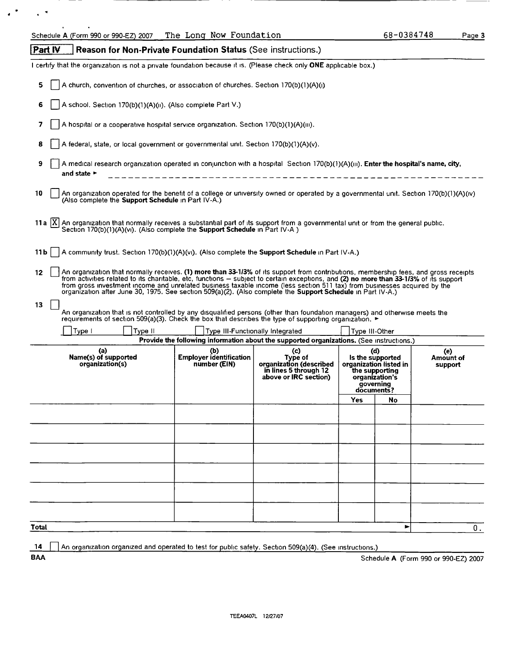$\mathbf{z}^{(k)}$  ,  $\mathbf{z}^{(k)}$ 

|              | Schedule A (Form 990 or 990-EZ) 2007                                                                                                                                                                                                                                                                                                                                                                                                                                                                                       | The Long Now roundation                               |                                                                                                                              |                | 68-0384748                                                                                                       | Page 3                               |
|--------------|----------------------------------------------------------------------------------------------------------------------------------------------------------------------------------------------------------------------------------------------------------------------------------------------------------------------------------------------------------------------------------------------------------------------------------------------------------------------------------------------------------------------------|-------------------------------------------------------|------------------------------------------------------------------------------------------------------------------------------|----------------|------------------------------------------------------------------------------------------------------------------|--------------------------------------|
| Part IV      | <b>Reason for Non-Private Foundation Status (See instructions.)</b>                                                                                                                                                                                                                                                                                                                                                                                                                                                        |                                                       |                                                                                                                              |                |                                                                                                                  |                                      |
|              | I certify that the organization is not a private foundation because it is. (Please check only ONE applicable box.)                                                                                                                                                                                                                                                                                                                                                                                                         |                                                       |                                                                                                                              |                |                                                                                                                  |                                      |
| 5.           | A church, convention of churches, or association of churches. Section 170(b)(1)(A)(i)                                                                                                                                                                                                                                                                                                                                                                                                                                      |                                                       |                                                                                                                              |                |                                                                                                                  |                                      |
| 6            | A school. Section 170(b)(1)(A)(ii). (Also complete Part V.)                                                                                                                                                                                                                                                                                                                                                                                                                                                                |                                                       |                                                                                                                              |                |                                                                                                                  |                                      |
| 7            | A hospital or a cooperative hospital service organization. Section 170(b)(1)(A)(iii).                                                                                                                                                                                                                                                                                                                                                                                                                                      |                                                       |                                                                                                                              |                |                                                                                                                  |                                      |
| 8            | A federal, state, or local government or governmental unit. Section 170(b)(1)(A)(v).                                                                                                                                                                                                                                                                                                                                                                                                                                       |                                                       |                                                                                                                              |                |                                                                                                                  |                                      |
| 9            | A medical research organization operated in conjunction with a hospital Section 170(b)(1)(A)(iii). Enter the hospital's name, city,                                                                                                                                                                                                                                                                                                                                                                                        |                                                       |                                                                                                                              |                |                                                                                                                  |                                      |
|              | and state $\blacktriangleright$                                                                                                                                                                                                                                                                                                                                                                                                                                                                                            | ------- <b>-----------------------</b>                |                                                                                                                              |                |                                                                                                                  |                                      |
| 10           | An organization operated for the benefit of a college or university owned or operated by a governmental unit. Section 170(b)(1)(A)(iv)<br>(Also complete the Support Schedule in Part IV-A.)                                                                                                                                                                                                                                                                                                                               |                                                       |                                                                                                                              |                |                                                                                                                  |                                      |
|              | 11a $ X $ An organization that normally receives a substantial part of its support from a governmental unit or from the general public.<br>Section 170(b)(1)(A)(vi). (Also complete the Support Schedule in Part IV-A)                                                                                                                                                                                                                                                                                                     |                                                       |                                                                                                                              |                |                                                                                                                  |                                      |
| 11 b         | A community trust. Section 170(b)(1)(A)(vi). (Also complete the Support Schedule in Part IV-A.)                                                                                                                                                                                                                                                                                                                                                                                                                            |                                                       |                                                                                                                              |                |                                                                                                                  |                                      |
| 12           | An organization that normally receives. (1) more than 33-1/3% of its support from contributions, membership fees, and gross receipts<br>from activities related to its charitable, etc, functions - subject to certain exceptions, and (2) no more than 33-1/3% of its support<br>from gross investment income and unrelated business taxable income (less section 511 tax) from businesses acquired by the<br>organization after June 30, 1975. See section 509(a)(2). (Also complete the Support Schedule in Part IV-A.) |                                                       |                                                                                                                              |                |                                                                                                                  |                                      |
| 13           |                                                                                                                                                                                                                                                                                                                                                                                                                                                                                                                            |                                                       |                                                                                                                              |                |                                                                                                                  |                                      |
|              | An organization that is not controlled by any disqualified persons (other than foundation managers) and otherwise meets the<br>requirements of section 509(a)(3). Check the box that describes the type of supporting organization. ►                                                                                                                                                                                                                                                                                      |                                                       |                                                                                                                              |                |                                                                                                                  |                                      |
|              | Type II<br>Type I                                                                                                                                                                                                                                                                                                                                                                                                                                                                                                          |                                                       | Type III-Functionally Integrated<br>Provide the following information about the supported organizations. (See instructions.) | Type III-Other |                                                                                                                  |                                      |
|              | (a)<br>Name(s) of supported<br>organization(s)                                                                                                                                                                                                                                                                                                                                                                                                                                                                             | (b)<br><b>Employer identification</b><br>number (EIN) | (c)<br>Type of<br>organization (described<br>in lines 5 through 12<br>above or IRC section)                                  |                | (d)<br>Is the supported<br>organization listed in<br>the supporting<br>organization's<br>governing<br>documents? | (e)<br>Amount of<br>support          |
|              |                                                                                                                                                                                                                                                                                                                                                                                                                                                                                                                            |                                                       |                                                                                                                              | Yes            | No                                                                                                               |                                      |
|              |                                                                                                                                                                                                                                                                                                                                                                                                                                                                                                                            |                                                       |                                                                                                                              |                |                                                                                                                  |                                      |
|              |                                                                                                                                                                                                                                                                                                                                                                                                                                                                                                                            |                                                       |                                                                                                                              |                |                                                                                                                  |                                      |
|              |                                                                                                                                                                                                                                                                                                                                                                                                                                                                                                                            |                                                       |                                                                                                                              |                |                                                                                                                  |                                      |
|              |                                                                                                                                                                                                                                                                                                                                                                                                                                                                                                                            |                                                       |                                                                                                                              |                |                                                                                                                  |                                      |
|              |                                                                                                                                                                                                                                                                                                                                                                                                                                                                                                                            |                                                       |                                                                                                                              |                |                                                                                                                  |                                      |
|              |                                                                                                                                                                                                                                                                                                                                                                                                                                                                                                                            |                                                       |                                                                                                                              |                |                                                                                                                  |                                      |
|              |                                                                                                                                                                                                                                                                                                                                                                                                                                                                                                                            |                                                       |                                                                                                                              |                |                                                                                                                  |                                      |
| <b>Total</b> |                                                                                                                                                                                                                                                                                                                                                                                                                                                                                                                            |                                                       |                                                                                                                              |                | ►                                                                                                                | 0.                                   |
| -14          | An organization organized and operated to test for public safety. Section 509(a)(4). (See instructions.)                                                                                                                                                                                                                                                                                                                                                                                                                   |                                                       |                                                                                                                              |                |                                                                                                                  |                                      |
| <b>BAA</b>   |                                                                                                                                                                                                                                                                                                                                                                                                                                                                                                                            |                                                       |                                                                                                                              |                |                                                                                                                  | Schedule A (Form 990 or 990-EZ) 2007 |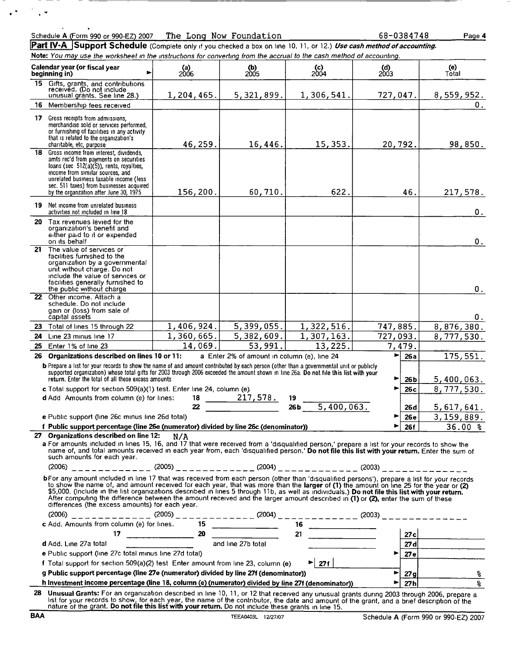| Schedule A (Form 990 or 990-EZ) 2007 | The<br><b>Now</b><br>Lona | Foundation | 1748<br>1384<br>oo | Page 4 |
|--------------------------------------|---------------------------|------------|--------------------|--------|
|                                      |                           |            |                    |        |

|  |  |  | Part IV-A Support Schedule (Complete only if you checked a box on line 10, 11, or 12.) Use cash method of accounting  |  |
|--|--|--|-----------------------------------------------------------------------------------------------------------------------|--|
|  |  |  | Note: You may use the worksheet in the instructions for converting from the accrual to the cash method of accounting. |  |

|    |                                                                                                                                                                                                                                                                                                                                                                                                                                                                                                                                                                                                                                | .c and mornorical in and insuracuons for converting |                                             |                                     |                                                            |                 |                          |
|----|--------------------------------------------------------------------------------------------------------------------------------------------------------------------------------------------------------------------------------------------------------------------------------------------------------------------------------------------------------------------------------------------------------------------------------------------------------------------------------------------------------------------------------------------------------------------------------------------------------------------------------|-----------------------------------------------------|---------------------------------------------|-------------------------------------|------------------------------------------------------------|-----------------|--------------------------|
|    | Calendar year (or fiscal year<br>beginning in)                                                                                                                                                                                                                                                                                                                                                                                                                                                                                                                                                                                 | (a)<br>2006                                         | $\binom{b}{2005}$                           | $^{(c)}_{2004}$                     | $\begin{array}{c} \n \text{(d)} \\ \n 2003 \n \end{array}$ |                 | (e)<br>Total             |
|    | 15 Gifts, grants, and contributions<br>received. (Do not include<br>unusual grants. See line 28.)                                                                                                                                                                                                                                                                                                                                                                                                                                                                                                                              | 1, 204, 465.                                        | 5,321,899.                                  | 1,306,541.                          | 727,047.                                                   |                 | <u>8,559,952.</u>        |
|    | 16 Membership fees received                                                                                                                                                                                                                                                                                                                                                                                                                                                                                                                                                                                                    |                                                     |                                             |                                     |                                                            |                 | 0.                       |
|    | <b>17</b> Gross receipts from admissions.<br>merchandise sold or services performed,<br>or furnishing of facilities in any activity<br>that is related to the organization's<br>charitable, etc, purpose                                                                                                                                                                                                                                                                                                                                                                                                                       | 46,259.                                             | 16,446.                                     | 15,353.                             | 20,792.                                                    |                 | 98,850.                  |
|    | 18 Gross income from interest, dividends,<br>amts rec'd from payments on securities<br>loans (sec $512(a)(5)$ ), rents, royalties,<br>income from similar sources, and<br>unrelated business taxable income (less<br>sec. 511 taxes) from businesses acquired                                                                                                                                                                                                                                                                                                                                                                  |                                                     |                                             |                                     |                                                            |                 |                          |
|    | by the organzation after June 30, 1975<br><b>19</b> Net income from unrelated business                                                                                                                                                                                                                                                                                                                                                                                                                                                                                                                                         | 156,200.                                            | 60,710.                                     | 622.                                |                                                            | 46.             | 217,578.                 |
|    | activities not included in line 18                                                                                                                                                                                                                                                                                                                                                                                                                                                                                                                                                                                             |                                                     |                                             |                                     |                                                            |                 | 0.                       |
|    | 20 Tax revenues levied for the<br>organization's benefit and<br>either paid to it or expended<br>on its behalf                                                                                                                                                                                                                                                                                                                                                                                                                                                                                                                 |                                                     |                                             |                                     |                                                            |                 | 0.                       |
| 21 | The value of services or<br>facilities furnished to the<br>organization by a governmental<br>unit without charge. Do not<br>include the value of services or<br>facilities generally furnished to<br>the public without charge                                                                                                                                                                                                                                                                                                                                                                                                 |                                                     |                                             |                                     |                                                            |                 | 0.                       |
|    | 22 Other income. Attach a<br>schedule. Do not include<br>gain or (loss) from sale of<br>capital assets                                                                                                                                                                                                                                                                                                                                                                                                                                                                                                                         |                                                     |                                             |                                     |                                                            |                 | 0.                       |
|    | 23 Total of lines 15 through 22                                                                                                                                                                                                                                                                                                                                                                                                                                                                                                                                                                                                | 1,406,924.                                          | 5,399,055.                                  | 1,322,516.                          | 747,885.                                                   |                 | 8,876,380.               |
| 24 | Line 23 minus line 17                                                                                                                                                                                                                                                                                                                                                                                                                                                                                                                                                                                                          | 1,360,665.                                          | 5,382,609.                                  | 1,307,163.                          | 727,093.                                                   |                 | 8,777,530.               |
| 25 | Enter 1% of line 23                                                                                                                                                                                                                                                                                                                                                                                                                                                                                                                                                                                                            | 14,069.                                             | 53,991.                                     | 13,225.                             |                                                            | 7,479.          |                          |
| 26 | Organizations described on lines 10 or 11:                                                                                                                                                                                                                                                                                                                                                                                                                                                                                                                                                                                     |                                                     | a Enter 2% of amount in column (e), line 24 |                                     | ►                                                          | 26a             | 175,551.                 |
|    | <b>b</b> Prepare a list for your records to show the name of and amount contributed by each person (other than a governmental unit or publicly<br>supported organization) whose total gifts for 2003 through 2006 exceeded the amount shown in line 26a. Do not file this list with your<br>return. Enter the total of all these excess amounts                                                                                                                                                                                                                                                                                |                                                     |                                             |                                     | ►                                                          | 26 b            | 5,400,063.               |
|    | c Total support for section 509(a)(1) test. Enter line 24, column (e).                                                                                                                                                                                                                                                                                                                                                                                                                                                                                                                                                         |                                                     |                                             |                                     |                                                            | 26c             | 8, 777, 530.             |
|    | d Add Amounts from column (e) for lines:                                                                                                                                                                                                                                                                                                                                                                                                                                                                                                                                                                                       |                                                     | $\frac{18}{22}$ $\frac{217,578.}{22}$       | 19<br>26 <sub>b</sub><br>5,400,063. |                                                            |                 |                          |
|    | e Public support (line 26c minus line 26d total)                                                                                                                                                                                                                                                                                                                                                                                                                                                                                                                                                                               |                                                     |                                             |                                     |                                                            | 26 d<br>26e     | 5,617,641.<br>3,159,889. |
|    | f Public support percentage (line 26e (numerator) divided by line 26c (denominator))                                                                                                                                                                                                                                                                                                                                                                                                                                                                                                                                           |                                                     |                                             |                                     | ►                                                          | 26f             | 36.00%                   |
|    | 27 Organizations described on line 12: $N/A$                                                                                                                                                                                                                                                                                                                                                                                                                                                                                                                                                                                   |                                                     |                                             |                                     |                                                            |                 |                          |
|    | a For amounts included in lines 15, 16, and 17 that were received from a 'disqualified person,' prepare a list for your records to show the<br>name of, and total amounts received in each year from, each 'disqualified person.' Do not file this list with your return. Enter the sum of<br>such amounts for each year.                                                                                                                                                                                                                                                                                                      |                                                     |                                             |                                     |                                                            |                 |                          |
|    |                                                                                                                                                                                                                                                                                                                                                                                                                                                                                                                                                                                                                                |                                                     |                                             |                                     |                                                            |                 |                          |
|    | bFor any amount included in line 17 that was received from each person (other than 'disqualified persons'), prepare a list for your records<br>to show the name of, and amount received for each year, that was more than the larger of (1) the amount on line 25 for the year or (2)<br>\$5,000. (Include in the list organizations described in lines 5 through 11b, as well as individuals.) Do not file this list with your return.<br>After computing the difference between the amount received and the larger amount described in (1) or (2), enter the sum of these<br>differences (the excess amounts) for each year. |                                                     |                                             |                                     |                                                            |                 |                          |
|    |                                                                                                                                                                                                                                                                                                                                                                                                                                                                                                                                                                                                                                |                                                     |                                             |                                     |                                                            |                 |                          |
|    |                                                                                                                                                                                                                                                                                                                                                                                                                                                                                                                                                                                                                                |                                                     |                                             |                                     |                                                            |                 |                          |
|    |                                                                                                                                                                                                                                                                                                                                                                                                                                                                                                                                                                                                                                |                                                     | and line 27b total                          | 21                                  |                                                            |                 | 27c                      |
|    | d Add. Line 27a total<br>e Public support (line 27c total minus line 27d total)                                                                                                                                                                                                                                                                                                                                                                                                                                                                                                                                                |                                                     |                                             |                                     | ►∣                                                         |                 | 27d                      |
|    | f Total support for section 509(a)(2) test Enter amount from line 23, column (e)                                                                                                                                                                                                                                                                                                                                                                                                                                                                                                                                               |                                                     |                                             | $\blacktriangleright$ 27f           |                                                            |                 | z7e                      |
|    | g Public support percentage (line 27e (numerator) divided by line 27f (denominator))                                                                                                                                                                                                                                                                                                                                                                                                                                                                                                                                           |                                                     |                                             |                                     | ►∣                                                         | $\frac{1}{27g}$ | 8                        |
|    | h Investment income percentage (line 18, column (e) (numerator) divided by line 27f (denominator))                                                                                                                                                                                                                                                                                                                                                                                                                                                                                                                             |                                                     |                                             |                                     | ►                                                          | 27 <sub>h</sub> | $\overline{\mathbf{e}}$  |
|    | 28 Unusual Grants: For an organization described in line 10, 11, or 12 that received any unusual grants during 2003 through 2006, prepare a                                                                                                                                                                                                                                                                                                                                                                                                                                                                                    |                                                     |                                             |                                     |                                                            |                 |                          |
|    | list for your records to show, for each year, the name of the contributor, the date and amount of the grant, and a brief description of the<br>nature of the grant. Do not file this list with your return. Do not include these grants in line 15.                                                                                                                                                                                                                                                                                                                                                                            |                                                     |                                             |                                     |                                                            |                 |                          |

े<br>प्रार

 $\ddot{\phantom{a}}$ 

 $\epsilon^{\pm}$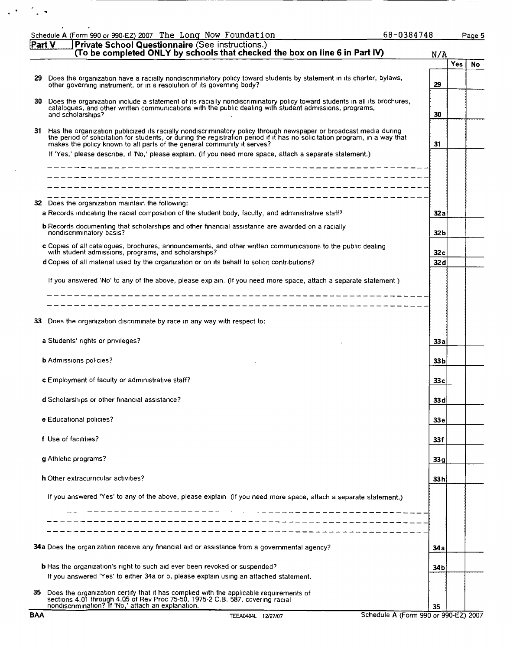| (To be completed ONLY by schools that checked the box on line 6 in Part IV)<br>N/A<br>Does the organization have a racially nondiscriminatory policy toward students by statement in its charter, bylaws,<br>29<br>other governing instrument, or in a resolution of its governing body?<br>29<br>Does the organization include a statement of its racially nondiscriminatory policy toward students in all its brochures,<br>30.<br>catalogues, and other written communications with the public dealing with student admissions, programs,<br>and scholarships?<br>30<br>31 Has the organization publicized its racially nondiscriminatory policy through newspaper or broadcast media during<br>the period of solicitation for students, or during the registration period if it has no solicitation program, in a way that<br>makes the policy known to all parts of the general community it serves?<br>31<br>If 'Yes,' please describe, if 'No,' please explain. (If you need more space, attach a separate statement.)<br>Does the organization maintain the following:<br>32<br>a Records indicating the racial composition of the student body, faculty, and administrative staff?<br>32 a<br><b>b</b> Records documenting that scholarships and other financial assistance are awarded on a racially<br>nondiscriminatory basis?<br>32 b<br>c Copies of all catalogues, brochures, announcements, and other written communications to the public dealing<br>with student admissions, programs, and scholarships?<br>32c<br>d Copies of all material used by the organization or on its behalf to solicit contributions?<br>32 d<br>If you answered 'No' to any of the above, please explain. (If you need more space, attach a separate statement)<br>Does the organization discriminate by race in any way with respect to:<br>33<br>a Students' rights or privileges?<br>33 a<br><b>b</b> Admissions policies?<br>33 b<br>c Employment of faculty or administrative staff?<br>33 c<br>d Scholarships or other financial assistance?<br>33 <sub>d</sub><br>e Educational policies?<br>33 <sub>e</sub><br>f Use of facilities?<br>33f<br>g Athletic programs?<br>33q<br>h Other extracurricular activities?<br>33 h<br>If you answered 'Yes' to any of the above, please explain (If you need more space, attach a separate statement.)<br>34a Does the organization receive any financial aid or assistance from a governmental agency?<br>34 a | Page 5                  |
|------------------------------------------------------------------------------------------------------------------------------------------------------------------------------------------------------------------------------------------------------------------------------------------------------------------------------------------------------------------------------------------------------------------------------------------------------------------------------------------------------------------------------------------------------------------------------------------------------------------------------------------------------------------------------------------------------------------------------------------------------------------------------------------------------------------------------------------------------------------------------------------------------------------------------------------------------------------------------------------------------------------------------------------------------------------------------------------------------------------------------------------------------------------------------------------------------------------------------------------------------------------------------------------------------------------------------------------------------------------------------------------------------------------------------------------------------------------------------------------------------------------------------------------------------------------------------------------------------------------------------------------------------------------------------------------------------------------------------------------------------------------------------------------------------------------------------------------------------------------------------------------------------------------------------------------------------------------------------------------------------------------------------------------------------------------------------------------------------------------------------------------------------------------------------------------------------------------------------------------------------------------------------------------------------------------------------------------------------------------------------------------------------------------------------------------------------------|-------------------------|
|                                                                                                                                                                                                                                                                                                                                                                                                                                                                                                                                                                                                                                                                                                                                                                                                                                                                                                                                                                                                                                                                                                                                                                                                                                                                                                                                                                                                                                                                                                                                                                                                                                                                                                                                                                                                                                                                                                                                                                                                                                                                                                                                                                                                                                                                                                                                                                                                                                                            |                         |
|                                                                                                                                                                                                                                                                                                                                                                                                                                                                                                                                                                                                                                                                                                                                                                                                                                                                                                                                                                                                                                                                                                                                                                                                                                                                                                                                                                                                                                                                                                                                                                                                                                                                                                                                                                                                                                                                                                                                                                                                                                                                                                                                                                                                                                                                                                                                                                                                                                                            | <b>Yes</b><br><b>No</b> |
|                                                                                                                                                                                                                                                                                                                                                                                                                                                                                                                                                                                                                                                                                                                                                                                                                                                                                                                                                                                                                                                                                                                                                                                                                                                                                                                                                                                                                                                                                                                                                                                                                                                                                                                                                                                                                                                                                                                                                                                                                                                                                                                                                                                                                                                                                                                                                                                                                                                            |                         |
|                                                                                                                                                                                                                                                                                                                                                                                                                                                                                                                                                                                                                                                                                                                                                                                                                                                                                                                                                                                                                                                                                                                                                                                                                                                                                                                                                                                                                                                                                                                                                                                                                                                                                                                                                                                                                                                                                                                                                                                                                                                                                                                                                                                                                                                                                                                                                                                                                                                            |                         |
|                                                                                                                                                                                                                                                                                                                                                                                                                                                                                                                                                                                                                                                                                                                                                                                                                                                                                                                                                                                                                                                                                                                                                                                                                                                                                                                                                                                                                                                                                                                                                                                                                                                                                                                                                                                                                                                                                                                                                                                                                                                                                                                                                                                                                                                                                                                                                                                                                                                            |                         |
|                                                                                                                                                                                                                                                                                                                                                                                                                                                                                                                                                                                                                                                                                                                                                                                                                                                                                                                                                                                                                                                                                                                                                                                                                                                                                                                                                                                                                                                                                                                                                                                                                                                                                                                                                                                                                                                                                                                                                                                                                                                                                                                                                                                                                                                                                                                                                                                                                                                            |                         |
|                                                                                                                                                                                                                                                                                                                                                                                                                                                                                                                                                                                                                                                                                                                                                                                                                                                                                                                                                                                                                                                                                                                                                                                                                                                                                                                                                                                                                                                                                                                                                                                                                                                                                                                                                                                                                                                                                                                                                                                                                                                                                                                                                                                                                                                                                                                                                                                                                                                            |                         |
|                                                                                                                                                                                                                                                                                                                                                                                                                                                                                                                                                                                                                                                                                                                                                                                                                                                                                                                                                                                                                                                                                                                                                                                                                                                                                                                                                                                                                                                                                                                                                                                                                                                                                                                                                                                                                                                                                                                                                                                                                                                                                                                                                                                                                                                                                                                                                                                                                                                            |                         |
|                                                                                                                                                                                                                                                                                                                                                                                                                                                                                                                                                                                                                                                                                                                                                                                                                                                                                                                                                                                                                                                                                                                                                                                                                                                                                                                                                                                                                                                                                                                                                                                                                                                                                                                                                                                                                                                                                                                                                                                                                                                                                                                                                                                                                                                                                                                                                                                                                                                            |                         |
|                                                                                                                                                                                                                                                                                                                                                                                                                                                                                                                                                                                                                                                                                                                                                                                                                                                                                                                                                                                                                                                                                                                                                                                                                                                                                                                                                                                                                                                                                                                                                                                                                                                                                                                                                                                                                                                                                                                                                                                                                                                                                                                                                                                                                                                                                                                                                                                                                                                            |                         |
|                                                                                                                                                                                                                                                                                                                                                                                                                                                                                                                                                                                                                                                                                                                                                                                                                                                                                                                                                                                                                                                                                                                                                                                                                                                                                                                                                                                                                                                                                                                                                                                                                                                                                                                                                                                                                                                                                                                                                                                                                                                                                                                                                                                                                                                                                                                                                                                                                                                            |                         |
|                                                                                                                                                                                                                                                                                                                                                                                                                                                                                                                                                                                                                                                                                                                                                                                                                                                                                                                                                                                                                                                                                                                                                                                                                                                                                                                                                                                                                                                                                                                                                                                                                                                                                                                                                                                                                                                                                                                                                                                                                                                                                                                                                                                                                                                                                                                                                                                                                                                            |                         |
|                                                                                                                                                                                                                                                                                                                                                                                                                                                                                                                                                                                                                                                                                                                                                                                                                                                                                                                                                                                                                                                                                                                                                                                                                                                                                                                                                                                                                                                                                                                                                                                                                                                                                                                                                                                                                                                                                                                                                                                                                                                                                                                                                                                                                                                                                                                                                                                                                                                            |                         |
|                                                                                                                                                                                                                                                                                                                                                                                                                                                                                                                                                                                                                                                                                                                                                                                                                                                                                                                                                                                                                                                                                                                                                                                                                                                                                                                                                                                                                                                                                                                                                                                                                                                                                                                                                                                                                                                                                                                                                                                                                                                                                                                                                                                                                                                                                                                                                                                                                                                            |                         |
|                                                                                                                                                                                                                                                                                                                                                                                                                                                                                                                                                                                                                                                                                                                                                                                                                                                                                                                                                                                                                                                                                                                                                                                                                                                                                                                                                                                                                                                                                                                                                                                                                                                                                                                                                                                                                                                                                                                                                                                                                                                                                                                                                                                                                                                                                                                                                                                                                                                            |                         |
|                                                                                                                                                                                                                                                                                                                                                                                                                                                                                                                                                                                                                                                                                                                                                                                                                                                                                                                                                                                                                                                                                                                                                                                                                                                                                                                                                                                                                                                                                                                                                                                                                                                                                                                                                                                                                                                                                                                                                                                                                                                                                                                                                                                                                                                                                                                                                                                                                                                            |                         |
|                                                                                                                                                                                                                                                                                                                                                                                                                                                                                                                                                                                                                                                                                                                                                                                                                                                                                                                                                                                                                                                                                                                                                                                                                                                                                                                                                                                                                                                                                                                                                                                                                                                                                                                                                                                                                                                                                                                                                                                                                                                                                                                                                                                                                                                                                                                                                                                                                                                            |                         |
|                                                                                                                                                                                                                                                                                                                                                                                                                                                                                                                                                                                                                                                                                                                                                                                                                                                                                                                                                                                                                                                                                                                                                                                                                                                                                                                                                                                                                                                                                                                                                                                                                                                                                                                                                                                                                                                                                                                                                                                                                                                                                                                                                                                                                                                                                                                                                                                                                                                            |                         |
|                                                                                                                                                                                                                                                                                                                                                                                                                                                                                                                                                                                                                                                                                                                                                                                                                                                                                                                                                                                                                                                                                                                                                                                                                                                                                                                                                                                                                                                                                                                                                                                                                                                                                                                                                                                                                                                                                                                                                                                                                                                                                                                                                                                                                                                                                                                                                                                                                                                            |                         |
|                                                                                                                                                                                                                                                                                                                                                                                                                                                                                                                                                                                                                                                                                                                                                                                                                                                                                                                                                                                                                                                                                                                                                                                                                                                                                                                                                                                                                                                                                                                                                                                                                                                                                                                                                                                                                                                                                                                                                                                                                                                                                                                                                                                                                                                                                                                                                                                                                                                            |                         |
|                                                                                                                                                                                                                                                                                                                                                                                                                                                                                                                                                                                                                                                                                                                                                                                                                                                                                                                                                                                                                                                                                                                                                                                                                                                                                                                                                                                                                                                                                                                                                                                                                                                                                                                                                                                                                                                                                                                                                                                                                                                                                                                                                                                                                                                                                                                                                                                                                                                            |                         |
|                                                                                                                                                                                                                                                                                                                                                                                                                                                                                                                                                                                                                                                                                                                                                                                                                                                                                                                                                                                                                                                                                                                                                                                                                                                                                                                                                                                                                                                                                                                                                                                                                                                                                                                                                                                                                                                                                                                                                                                                                                                                                                                                                                                                                                                                                                                                                                                                                                                            |                         |
|                                                                                                                                                                                                                                                                                                                                                                                                                                                                                                                                                                                                                                                                                                                                                                                                                                                                                                                                                                                                                                                                                                                                                                                                                                                                                                                                                                                                                                                                                                                                                                                                                                                                                                                                                                                                                                                                                                                                                                                                                                                                                                                                                                                                                                                                                                                                                                                                                                                            |                         |
|                                                                                                                                                                                                                                                                                                                                                                                                                                                                                                                                                                                                                                                                                                                                                                                                                                                                                                                                                                                                                                                                                                                                                                                                                                                                                                                                                                                                                                                                                                                                                                                                                                                                                                                                                                                                                                                                                                                                                                                                                                                                                                                                                                                                                                                                                                                                                                                                                                                            |                         |
|                                                                                                                                                                                                                                                                                                                                                                                                                                                                                                                                                                                                                                                                                                                                                                                                                                                                                                                                                                                                                                                                                                                                                                                                                                                                                                                                                                                                                                                                                                                                                                                                                                                                                                                                                                                                                                                                                                                                                                                                                                                                                                                                                                                                                                                                                                                                                                                                                                                            |                         |
|                                                                                                                                                                                                                                                                                                                                                                                                                                                                                                                                                                                                                                                                                                                                                                                                                                                                                                                                                                                                                                                                                                                                                                                                                                                                                                                                                                                                                                                                                                                                                                                                                                                                                                                                                                                                                                                                                                                                                                                                                                                                                                                                                                                                                                                                                                                                                                                                                                                            |                         |
|                                                                                                                                                                                                                                                                                                                                                                                                                                                                                                                                                                                                                                                                                                                                                                                                                                                                                                                                                                                                                                                                                                                                                                                                                                                                                                                                                                                                                                                                                                                                                                                                                                                                                                                                                                                                                                                                                                                                                                                                                                                                                                                                                                                                                                                                                                                                                                                                                                                            |                         |
|                                                                                                                                                                                                                                                                                                                                                                                                                                                                                                                                                                                                                                                                                                                                                                                                                                                                                                                                                                                                                                                                                                                                                                                                                                                                                                                                                                                                                                                                                                                                                                                                                                                                                                                                                                                                                                                                                                                                                                                                                                                                                                                                                                                                                                                                                                                                                                                                                                                            |                         |
|                                                                                                                                                                                                                                                                                                                                                                                                                                                                                                                                                                                                                                                                                                                                                                                                                                                                                                                                                                                                                                                                                                                                                                                                                                                                                                                                                                                                                                                                                                                                                                                                                                                                                                                                                                                                                                                                                                                                                                                                                                                                                                                                                                                                                                                                                                                                                                                                                                                            |                         |
|                                                                                                                                                                                                                                                                                                                                                                                                                                                                                                                                                                                                                                                                                                                                                                                                                                                                                                                                                                                                                                                                                                                                                                                                                                                                                                                                                                                                                                                                                                                                                                                                                                                                                                                                                                                                                                                                                                                                                                                                                                                                                                                                                                                                                                                                                                                                                                                                                                                            |                         |
| <b>b</b> Has the organization's right to such aid ever been revoked or suspended?<br>34b                                                                                                                                                                                                                                                                                                                                                                                                                                                                                                                                                                                                                                                                                                                                                                                                                                                                                                                                                                                                                                                                                                                                                                                                                                                                                                                                                                                                                                                                                                                                                                                                                                                                                                                                                                                                                                                                                                                                                                                                                                                                                                                                                                                                                                                                                                                                                                   |                         |
| If you answered 'Yes' to either 34a or b, please explain using an attached statement.                                                                                                                                                                                                                                                                                                                                                                                                                                                                                                                                                                                                                                                                                                                                                                                                                                                                                                                                                                                                                                                                                                                                                                                                                                                                                                                                                                                                                                                                                                                                                                                                                                                                                                                                                                                                                                                                                                                                                                                                                                                                                                                                                                                                                                                                                                                                                                      |                         |
| Does the organization certify that it has complied with the applicable requirements of<br>35.<br>sections 4.01 through 4.05 of Rev Proc 75-50, 1975-2 C.B. 587, covering racial<br>nondiscrimination? If 'No,' attach an explanation.<br>35                                                                                                                                                                                                                                                                                                                                                                                                                                                                                                                                                                                                                                                                                                                                                                                                                                                                                                                                                                                                                                                                                                                                                                                                                                                                                                                                                                                                                                                                                                                                                                                                                                                                                                                                                                                                                                                                                                                                                                                                                                                                                                                                                                                                                |                         |

 $\mathcal{L}^{(k)}$  .

 $\frac{1}{2}$  .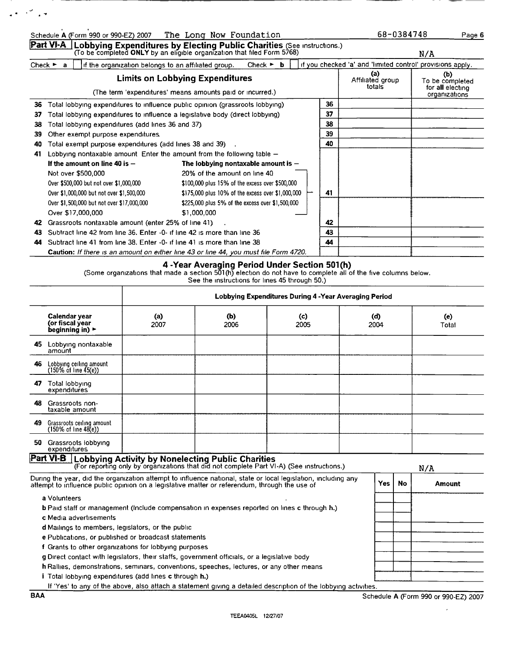|    |                                                                                      | Part VI-A Lobbying Expenditures by Electing Public Charities (See instructions.)<br>(To be completed ONLY by an eligible organization that filed Form 5768) |    |                                                            | N/A                                                         |
|----|--------------------------------------------------------------------------------------|-------------------------------------------------------------------------------------------------------------------------------------------------------------|----|------------------------------------------------------------|-------------------------------------------------------------|
|    | Check $\blacktriangleright$ a<br>if the organization belongs to an affiliated group. | Check $\triangleright$ <b>b</b>                                                                                                                             |    | if you checked 'a' and 'limited control' provisions apply. |                                                             |
|    |                                                                                      | <b>Limits on Lobbying Expenditures</b><br>(The term 'expenditures' means amounts paid or incurred.)                                                         |    | (a)<br>Affiliated group<br>totals                          | (b)<br>To be completed<br>for all electing<br>organizations |
| 36 |                                                                                      | Total lobbying expenditures to influence public opinion (grassroots lobbying)                                                                               | 36 |                                                            |                                                             |
| 37 | Total lobbying expenditures to influence a legislative body (direct lobbying)        |                                                                                                                                                             | 37 |                                                            |                                                             |
| 38 | Total lobbying expenditures (add lines 36 and 37)                                    |                                                                                                                                                             | 38 |                                                            |                                                             |
| 39 | Other exempt purpose expenditures.                                                   |                                                                                                                                                             | 39 |                                                            |                                                             |
| 40 | Total exempt purpose expenditures (add lines 38 and 39)                              |                                                                                                                                                             | 40 |                                                            |                                                             |
| 41 | Lobbying nontaxable amount Enter the amount from the following table -               |                                                                                                                                                             |    |                                                            |                                                             |
|    | If the amount on line 40 is $-$                                                      | The lobbying nontaxable amount is $-$                                                                                                                       |    |                                                            |                                                             |
|    | Not over \$500,000                                                                   | 20% of the amount on line 40                                                                                                                                |    |                                                            |                                                             |
|    | Over \$500,000 but not over \$1,000,000                                              | \$100,000 plus 15% of the excess over \$500,000                                                                                                             |    |                                                            |                                                             |
|    | Over \$1,000,000 but not over \$1,500,000                                            | \$175,000 plus 10% of the excess over \$1,000,000                                                                                                           | 41 |                                                            |                                                             |
|    | Over \$1,500,000 but not over \$17,000,000                                           | \$225,000 plus 5% of the excess over \$1,500,000                                                                                                            |    |                                                            |                                                             |
|    | Over \$17,000,000                                                                    | \$1,000.000                                                                                                                                                 |    |                                                            |                                                             |
| 42 | Grassroots nontaxable amount (enter 25% of line 41)                                  |                                                                                                                                                             | 42 |                                                            |                                                             |
| 43 | Subtract line 42 from line 36. Enter -0- if line 42 is more than line 36             |                                                                                                                                                             | 43 |                                                            |                                                             |
| 44 | Subtract line 41 from line 38. Enter -0- if line 41 is more than line 38             |                                                                                                                                                             | 44 |                                                            |                                                             |
|    |                                                                                      | Caution: If there is an amount on either line 43 or line 44, you must file Form 4720.                                                                       |    |                                                            |                                                             |

|                                                               |                                                                                                                                                                                                                 | Lobbying Expenditures During 4 - Year Averaging Period |             |  |             |     |              |        |
|---------------------------------------------------------------|-----------------------------------------------------------------------------------------------------------------------------------------------------------------------------------------------------------------|--------------------------------------------------------|-------------|--|-------------|-----|--------------|--------|
|                                                               | Calendar year<br>(or fiscal year<br>beginning in) $\blacktriangleright$                                                                                                                                         | (a)<br>2007                                            | (b)<br>2006 |  | (d)<br>2004 |     | (e)<br>Total |        |
| 45.                                                           | Lobbying nontaxable<br>amount                                                                                                                                                                                   |                                                        |             |  |             |     |              |        |
| 46                                                            | Lobbying ceiling amount<br>$(150\% \text{ of line } 45(e))$                                                                                                                                                     |                                                        |             |  |             |     |              |        |
| 47                                                            | Total lobbying<br>expenditures                                                                                                                                                                                  |                                                        |             |  |             |     |              |        |
| 48.                                                           | Grassroots non-<br>taxable amount                                                                                                                                                                               |                                                        |             |  |             |     |              |        |
| 49                                                            | Grassroots ceiling amount<br>$(150\% \text{ of line } 48\text{e})$                                                                                                                                              |                                                        |             |  |             |     |              |        |
| 50                                                            | Grassroots lobbying<br>expenditures                                                                                                                                                                             |                                                        |             |  |             |     |              |        |
|                                                               | <b>Part VI-B</b> Lobbying Activity by Nonelecting Public Charities (For reporting only by organizations that did not complete Part VI-A) (See instructions.)                                                    |                                                        |             |  |             |     |              | N/A    |
|                                                               | During the year, did the organization attempt to influence national, state or local legislation, including any<br>attempt to influence public opinion on a legislative matter or referendum, through the use of |                                                        |             |  |             | Yes | <b>No</b>    | Amount |
|                                                               | a Volunteers                                                                                                                                                                                                    |                                                        |             |  |             |     |              |        |
|                                                               | <b>b</b> Paid staff or management (include compensation in expenses reported on lines c through h.)                                                                                                             |                                                        |             |  |             |     |              |        |
|                                                               | c Media advertisements<br>d Mailings to members, legislators, or the public                                                                                                                                     |                                                        |             |  |             |     |              |        |
| e Publications, or published or broadcast statements          |                                                                                                                                                                                                                 |                                                        |             |  |             |     |              |        |
| f Grants to other organizations for lobbying purposes         |                                                                                                                                                                                                                 |                                                        |             |  |             |     |              |        |
|                                                               | g Direct contact with legislators, their staffs, government officials, or a legislative body                                                                                                                    |                                                        |             |  |             |     |              |        |
|                                                               | h Rallies, demonstrations, seminars, conventions, speeches, lectures, or any other means                                                                                                                        |                                                        |             |  |             |     |              |        |
| <i>i</i> Total lobbying expenditures (add lines c through h.) |                                                                                                                                                                                                                 |                                                        |             |  |             |     |              |        |

If 'Yes' to any of the above, also attach a statement giving a detailed description of the lobbying activities.

 $\mathcal{L} \in \mathbb{R}^{2d}$  , we

 $\sim$   $\epsilon$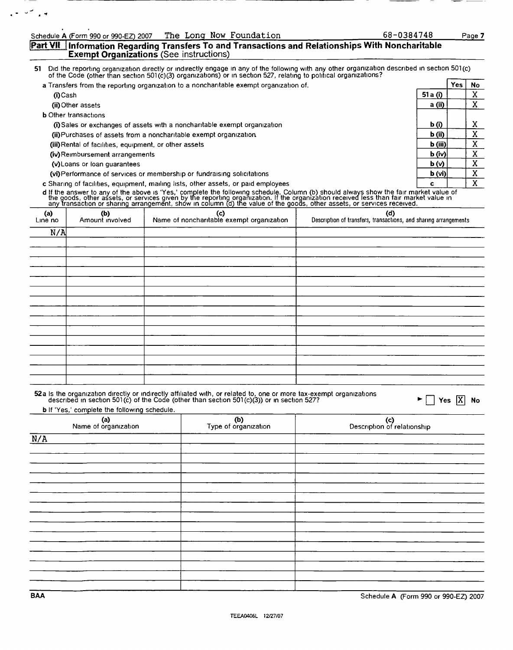#### Part VII Information Regarding Transfers To and Transactions and Relationships With Noncharitable Exempt Organizations (See instructions)

51 Did the reporting organization directly or indirectly engage In any of the followmg With any other organization described in section 501(c) of the Code (other than section 501(c)(3) organizations) or in section 527, relating to political organizations?

| a Transfers from the reporting organization to a noncharitable exempt organization of. |                   | Yes | No     |
|----------------------------------------------------------------------------------------|-------------------|-----|--------|
| (i)Cash                                                                                | 51 a (i)          |     | v      |
| (ii) Other assets                                                                      | a (ii)            |     | v      |
| <b>b</b> Other transactions                                                            |                   |     |        |
| (i) Sales or exchanges of assets with a noncharitable exempt organization              | b (i)             |     | v<br>л |
| (ii) Purchases of assets from a noncharitable exempt organization.                     | $b$ (ii)          |     | v      |
| (iii) Rental of facilities, equipment, or other assets                                 | $\mathbf b$ (iii) |     | v      |
| (iv) Reimbursement arrangements                                                        | $b$ (iv)          |     | v      |
| (v) Loans or loan quarantees                                                           | b(v)              |     | v      |
| (vi) Performance of services or membership or fundraising solicitations                | b (vi)            |     | v      |
| c Sharing of facilities, equipment, mailing lists, other assets, or paid employees     | c                 |     | v      |

**d** If the answer to any of the above is 'Yes,' complete the following schedule. Column (b) should always show the fair market value of<br>the goods, other assets, or services given by the reporting organization. If the organ

| (a)<br>Line no | (b)<br>Amount involved | (c)<br>Name of noncharitable exempt organization | (d)<br>Description of transfers, transactions, and sharing arrangements |
|----------------|------------------------|--------------------------------------------------|-------------------------------------------------------------------------|
| N/A            |                        |                                                  |                                                                         |
|                |                        |                                                  |                                                                         |
|                |                        |                                                  |                                                                         |
|                |                        |                                                  |                                                                         |
|                |                        |                                                  |                                                                         |
|                |                        |                                                  |                                                                         |
|                |                        |                                                  |                                                                         |
|                |                        |                                                  |                                                                         |
|                |                        |                                                  |                                                                         |
|                |                        |                                                  |                                                                         |
|                |                        |                                                  |                                                                         |
|                |                        |                                                  |                                                                         |
|                |                        |                                                  |                                                                         |
|                |                        |                                                  |                                                                         |
|                |                        |                                                  |                                                                         |
|                |                        |                                                  |                                                                         |

| 52a is the organization directly or indirectly affiliated with, or related to, one or more tax-exempt organizations |
|---------------------------------------------------------------------------------------------------------------------|
| described in section 501(c) of the Code (other than section 501(c)(3)) or in section 527?                           |

 $tions$   $\blacktriangleright \Box$  Yes  $\boxed{X}$  No

**b** If 'Yes,' complete the following schedule.

| (a)<br>Name of organization | (b)<br>Type of organization | (c)<br>Description of relationship |
|-----------------------------|-----------------------------|------------------------------------|
| N/A                         |                             |                                    |
|                             |                             |                                    |
|                             |                             |                                    |
|                             |                             |                                    |
|                             |                             |                                    |
|                             |                             |                                    |
|                             |                             |                                    |
|                             |                             |                                    |
|                             |                             |                                    |
|                             |                             |                                    |
|                             |                             |                                    |
|                             |                             |                                    |
|                             |                             |                                    |
|                             |                             |                                    |

 $\sim$   $\sim$   $\sim$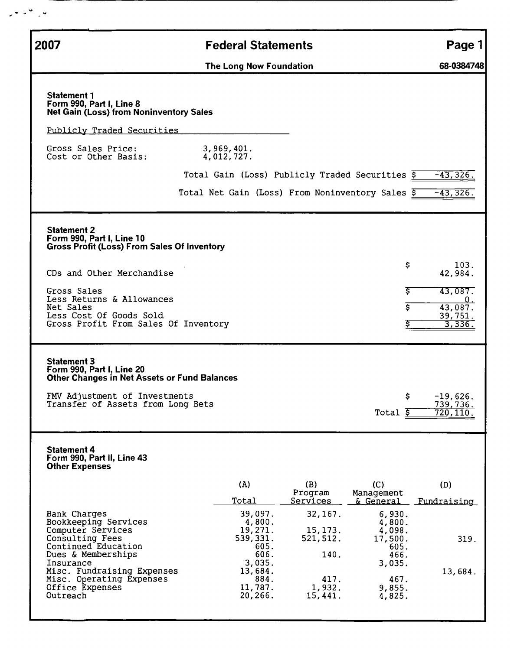| 2007                                                                                                                                                                  | <b>Federal Statements</b>                        |                                   |                                           | Page 1                                     |
|-----------------------------------------------------------------------------------------------------------------------------------------------------------------------|--------------------------------------------------|-----------------------------------|-------------------------------------------|--------------------------------------------|
|                                                                                                                                                                       | The Long Now Foundation                          |                                   |                                           | 68-0384748                                 |
| <b>Statement 1</b><br>Form 990, Part I, Line 8<br><b>Net Gain (Loss) from Noninventory Sales</b>                                                                      |                                                  |                                   |                                           |                                            |
| Publicly Traded Securities                                                                                                                                            |                                                  |                                   |                                           |                                            |
| Gross Sales Price:<br>Cost or Other Basis:                                                                                                                            | 3,969,401.<br>4,012,727.                         |                                   |                                           |                                            |
|                                                                                                                                                                       | Total Gain (Loss) Publicly Traded Securities \$  |                                   |                                           | $-43,326.$                                 |
|                                                                                                                                                                       | Total Net Gain (Loss) From Noninventory Sales \$ |                                   |                                           | $-43,326.$                                 |
| <b>Statement 2</b><br>Form 990, Part I, Line 10<br><b>Gross Profit (Loss) From Sales Of Inventory</b>                                                                 |                                                  |                                   |                                           |                                            |
| CDs and Other Merchandise                                                                                                                                             |                                                  |                                   | \$                                        | 103.<br>42,984.                            |
| Gross Sales<br>Less Returns & Allowances                                                                                                                              |                                                  |                                   | Ŝ.                                        | 43,087.<br>$0_{\star}$                     |
| Net Sales<br>Less Cost Of Goods Sold<br>Gross Profit From Sales Of Inventory                                                                                          |                                                  |                                   | Ś                                         | $\overline{43,087}$ .<br>39,751.<br>3,336. |
| <b>Statement 3</b><br>Form 990, Part I, Line 20<br>Other Changes in Net Assets or Fund Balances<br>FMV Adjustment of Investments<br>Transfer of Assets from Long Bets |                                                  |                                   | \$<br>Total $\overline{s}$                | $-19,626.$<br><u>739,736.</u><br>720, 110. |
| <b>Statement 4</b><br>Form 990, Part II, Line 43<br><b>Other Expenses</b>                                                                                             |                                                  |                                   |                                           |                                            |
|                                                                                                                                                                       | (A)<br><u>Total</u>                              | (B)<br>Program<br><u>Services</u> | (C)<br>Management<br><u>&amp; General</u> | (D)<br><u>Fundraising</u>                  |
| Bank Charges<br>Bookkeeping Services                                                                                                                                  | 39,097.<br>4,800.                                | 32, 167.                          | 6,930.<br>4,800.                          |                                            |
| Computer Services<br>Consulting Fees                                                                                                                                  | 19,271.<br>539,331.                              | 15, 173.<br>521, 512.             | 4,098.<br>17,500.                         | 319.                                       |
| Continued Education<br>Dues & Memberships<br>Insurance                                                                                                                | 605.<br>606.<br>3,035.                           | 140.                              | 605.<br>466.<br>3,035.                    |                                            |
| Misc. Fundraising Expenses<br>Misc. Operating Expenses                                                                                                                | 13,684.<br>884.                                  | 417.                              | 467.                                      | 13,684.                                    |
| Office Expenses                                                                                                                                                       | 11,787.                                          | 1,932.                            | 9,855.                                    |                                            |

 $\sim$   $\sim$   $\sim$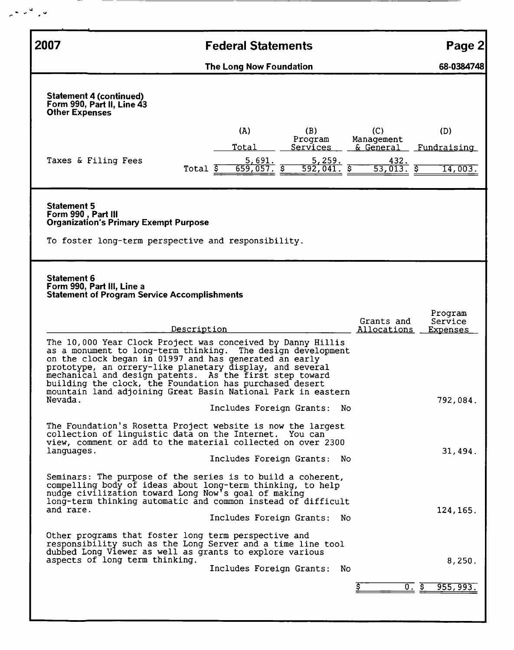| 2007                                     |                                                                                                                                                                                                                                                                                                                                                                                                                                        |                        | <b>Federal Statements</b>           |                                                                   |                                                   | Page 2                                    |
|------------------------------------------|----------------------------------------------------------------------------------------------------------------------------------------------------------------------------------------------------------------------------------------------------------------------------------------------------------------------------------------------------------------------------------------------------------------------------------------|------------------------|-------------------------------------|-------------------------------------------------------------------|---------------------------------------------------|-------------------------------------------|
|                                          |                                                                                                                                                                                                                                                                                                                                                                                                                                        |                        | The Long Now Foundation             |                                                                   |                                                   | 68-0384748                                |
| <b>Other Expenses</b>                    | <b>Statement 4 (continued)</b><br>Form 990, Part II, Line 43                                                                                                                                                                                                                                                                                                                                                                           |                        |                                     |                                                                   |                                                   |                                           |
|                                          | Taxes & Filing Fees                                                                                                                                                                                                                                                                                                                                                                                                                    | Total $\overline{\xi}$ | (A)<br>Total<br>5,691.<br>659,057.5 | (B)<br>Program<br>Services<br>5,259.<br>$592,041.$ $\overline{5}$ | (C)<br>Management<br>& General<br>432.<br>53,013. | (D)<br><u>Fundraising</u><br>14,003.<br>ङ |
| <b>Statement 5</b><br>Form 990, Part III | <b>Organization's Primary Exempt Purpose</b><br>To foster long-term perspective and responsibility.                                                                                                                                                                                                                                                                                                                                    |                        |                                     |                                                                   |                                                   |                                           |
| <b>Statement 6</b>                       | Form 990, Part III, Line a<br><b>Statement of Program Service Accomplishments</b>                                                                                                                                                                                                                                                                                                                                                      |                        |                                     |                                                                   |                                                   | Program                                   |
|                                          |                                                                                                                                                                                                                                                                                                                                                                                                                                        | Description            |                                     |                                                                   | Grants and<br>Allocations                         | Service<br><u>Expenses</u>                |
|                                          | The 10,000 Year Clock Project was conceived by Danny Hillis<br>as a monument to long-term thinking. The design development<br>on the clock began in 01997 and has generated an early<br>prototype, an orrery-like planetary display, and several<br>mechanical and design patents. As the first step toward<br>building the clock, the Foundation has purchased desert<br>mountain land adjoining Great Basin National Park in eastern |                        |                                     |                                                                   |                                                   |                                           |
| Nevada.                                  |                                                                                                                                                                                                                                                                                                                                                                                                                                        |                        |                                     | Includes Foreign Grants: No                                       |                                                   | 792,084.                                  |
| languages.                               | The Foundation's Rosetta Project website is now the largest<br>collection of linguistic data on the Internet. You can<br>view, comment or add to the material collected on over 2300                                                                                                                                                                                                                                                   |                        |                                     |                                                                   |                                                   | 31,494.                                   |
|                                          |                                                                                                                                                                                                                                                                                                                                                                                                                                        |                        |                                     | Includes Foreign Grants: No                                       |                                                   |                                           |
| and rare.                                | Seminars: The purpose of the series is to build a coherent,<br>compelling body of ideas about long-term thinking, to help<br>nudge civilization toward Long Now's goal of making<br>long-term thinking automatic and common instead of difficult                                                                                                                                                                                       |                        |                                     |                                                                   |                                                   | 124, 165.                                 |
|                                          |                                                                                                                                                                                                                                                                                                                                                                                                                                        |                        |                                     | Includes Foreign Grants:                                          | - No                                              |                                           |
|                                          | Other programs that foster long term perspective and<br>responsibility such as the Long Server and a time line tool<br>dubbed Long Viewer as well as grants to explore various<br>aspects of long term thinking.                                                                                                                                                                                                                       |                        |                                     |                                                                   |                                                   | 8,250.                                    |
|                                          |                                                                                                                                                                                                                                                                                                                                                                                                                                        |                        |                                     | Includes Foreign Grants:                                          | No.                                               |                                           |
|                                          |                                                                                                                                                                                                                                                                                                                                                                                                                                        |                        |                                     |                                                                   |                                                   | 0.5<br>955,993.                           |

 $e^{\frac{1}{2}(\mu - \mu)}$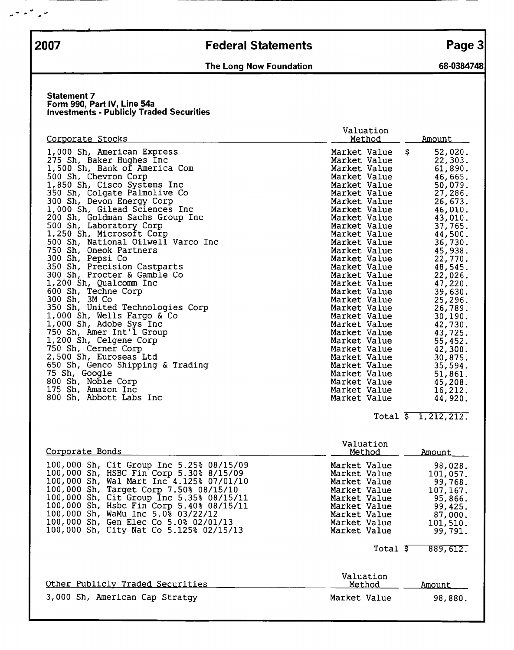$\mathbb{R}^n \times \mathbb{R}^n \times \mathbb{R}^n$ 

## 2007 Federal Statements Page 3

## The Long Now Foundation 68-0384748

--

#### Statement 7 Form 990, Part IV, Line 54a Investments - Publicly Traded Securities

|                                    | Valuation     |              |
|------------------------------------|---------------|--------------|
| <u>Corporate Stocks</u>            | <u>Method</u> | Amount       |
| 1,000 Sh, American Express         | Market Value  | 52,020.<br>s |
| 275 Sh, Baker Hughes Inc           | Market Value  | 22,303.      |
| 1,500 Sh, Bank of America Com      | Market Value  | 61,890.      |
| 500 Sh, Chevron Corp               | Market Value  | 46,665.      |
| 1,850 Sh, Cisco Systems Inc        | Market Value  | 50,079.      |
| 350 Sh, Colgate Palmolive Co       | Market Value  | 27,286.      |
| 300 Sh, Devon Energy Corp          | Market Value  | 26,673.      |
| 1,000 Sh, Gilead Sciences Inc      | Market Value  | 46,010.      |
| 200 Sh, Goldman Sachs Group Inc    | Market Value  | 43,010.      |
| 500 Sh, Laboratory Corp            | Market Value  | 37,765.      |
| 1,250 Sh, Microsoft Corp           | Market Value  | 44,500.      |
| 500 Sh, National Oilwell Varco Inc | Market Value  | 36,730.      |
| 750 Sh, Oneok Partners             | Market Value  | 45,938.      |
| 300 Sh, Pepsi Co                   | Market Value  | 22,770.      |
| 350 Sh, Precision Castparts        | Market Value  | 48,545.      |
| 300 Sh, Procter & Gamble Co        | Market Value  | 22,026.      |
| 1,200 Sh, Qualcomm Inc             | Market Value  | 47,220.      |
| 600 Sh, Techne Corp                | Market Value  | 39,630.      |
| 300 Sh, 3M Co                      | Market Value  | 25,296.      |
| 350 Sh, United Technologies Corp   | Market Value  | 26,789.      |
| 1,000 Sh, Wells Fargo & Co         | Market Value  | 30,190.      |
| 1,000 Sh, Adobe Sys Inc            | Market Value  | 42,730.      |
| 750 Sh, Amer Int'l Group           | Market Value  | 43,725.      |
| 1,200 Sh, Celgene Corp             | Market Value  | 55,452.      |
| 750 Sh, Cerner Corp                | Market Value  | 42,300.      |
| 2,500 Sh, Euroseas Ltd             | Market Value  | 30,875.      |
| 650 Sh, Genco Shipping & Trading   | Market Value  | 35,594.      |
| 75 Sh, Google                      | Market Value  | 51,861.      |
| 800 Sh, Noble Corp                 | Market Value  | 45,208.      |
| 175 Sh, Amazon Inc                 | Market Value  | 16,212.      |
| 800 Sh, Abbott Labs Inc            | Market Value  | 44,920.      |

### Total \$ 1,212,212.

| Corporate Bonds                                                                                                                                                                                                                                                                                                                                                                             | Valuation<br>Method                                                                                                                          | Amount                                                                                               |
|---------------------------------------------------------------------------------------------------------------------------------------------------------------------------------------------------------------------------------------------------------------------------------------------------------------------------------------------------------------------------------------------|----------------------------------------------------------------------------------------------------------------------------------------------|------------------------------------------------------------------------------------------------------|
| 100,000 Sh, Cit Group Inc 5.25% 08/15/09<br>100,000 Sh, HSBC Fin Corp 5.30% 8/15/09<br>100,000 Sh, Wal Mart Inc 4.125% 07/01/10<br>100,000 Sh, Target Corp 7.50% 08/15/10<br>100,000 Sh, Cit Group Inc 5.35% 08/15/11<br>100,000 Sh, Hsbc Fin Corp 5.40% 08/15/11<br>100,000 Sh, WaMu Inc 5.0% 03/22/12<br>100,000 Sh, Gen Elec Co 5.0% 02/01/13<br>100,000 Sh, City Nat Co 5.125% 02/15/13 | Market Value<br>Market Value<br>Market Value<br>Market Value<br>Market Value<br>Market Value<br>Market Value<br>Market Value<br>Market Value | 98,028.<br>101,057.<br>99,768.<br>107, 167.<br>95,866.<br>99, 425.<br>87,000.<br>101,510.<br>99,791. |
|                                                                                                                                                                                                                                                                                                                                                                                             | Total $\overline{s}$                                                                                                                         | 889, 612.                                                                                            |
| Other Publicly Traded Securities                                                                                                                                                                                                                                                                                                                                                            | Valuation<br>Method                                                                                                                          | Amount                                                                                               |
| 3,000 Sh, American Cap Stratqy                                                                                                                                                                                                                                                                                                                                                              | Market Value                                                                                                                                 | 98,880.                                                                                              |
|                                                                                                                                                                                                                                                                                                                                                                                             |                                                                                                                                              |                                                                                                      |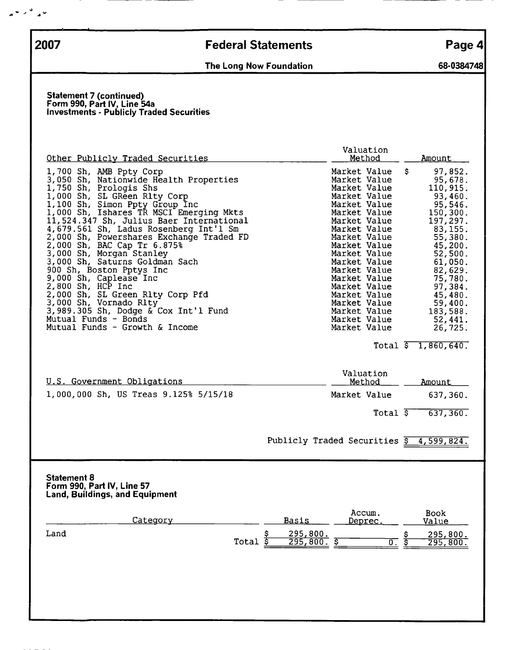$\mathbf{v} = \mathbf{v}^{\mathcal{A}} \mathbf{v}^{\mathcal{B}}$ 

# 2007 Federal Statements Page 4

## The Long Now Foundation 68-0384748

#### Statement 7 (continued) Form 990, Part IV, Line 54a Investments - Publicly Traded Securities

| Other Publicly Traded Securities                                                                                                                                                                                                                                                                                                                                                                                                                                                                                                                                                                                                                                                     | Valuation<br>Method                                                                                                                                                                                                                                                                                                          | Amount                                                                                                                                                                                                                                                                  |
|--------------------------------------------------------------------------------------------------------------------------------------------------------------------------------------------------------------------------------------------------------------------------------------------------------------------------------------------------------------------------------------------------------------------------------------------------------------------------------------------------------------------------------------------------------------------------------------------------------------------------------------------------------------------------------------|------------------------------------------------------------------------------------------------------------------------------------------------------------------------------------------------------------------------------------------------------------------------------------------------------------------------------|-------------------------------------------------------------------------------------------------------------------------------------------------------------------------------------------------------------------------------------------------------------------------|
| 1,700 Sh, AMB Ppty Corp<br>3,050 Sh, Nationwide Health Properties<br>1,750 Sh, Prologis Shs<br>1,000 Sh, SL GReen Rlty Corp<br>1,100 Sh, Simon Ppty Group Inc<br>1,000 Sh, Ishares TR MSCI Emerging Mkts<br>11,524.347 Sh, Julius Baer International<br>4,679.561 Sh, Ladus Rosenberg Int'l Sm<br>2,000 Sh, Powershares Exchange Traded FD<br>2,000 Sh, BAC Cap Tr 6.875%<br>3,000 Sh, Morgan Stanley<br>3,000 Sh, Saturns Goldman Sach<br>900 Sh, Boston Pptys Inc<br>9,000 Sh, Caplease Inc<br>$2,800$ Sh, HCP Inc<br>2,000 Sh, SL Green Rlty Corp Pfd<br>3,000 Sh, Vornado Rlty<br>3,989.305 Sh, Dodge & Cox Int'l Fund<br>Mutual Funds - Bonds<br>Mutual Funds - Growth & Income | Market Value<br>Market Value<br>Market Value<br>Market Value<br>Market Value<br>Market Value<br>Market Value<br>Market Value<br>Market Value<br>Market Value<br>Market Value<br>Market Value<br>Market Value<br>Market Value<br>Market Value<br>Market Value<br>Market Value<br>Market Value<br>Market Value<br>Market Value | 97,852.<br>\$.<br>95,678.<br>110,915.<br>93,460.<br>95,546.<br>150,300.<br>197,297.<br>83, 155.<br>55,380.<br>45,200.<br>52,500.<br>61,050.<br>82,629.<br>75,780.<br>97,384.<br>45,480.<br>59,400.<br>183,588.<br>52,441.<br>26,725.<br>Total $\overline{5}$ 1,860,640. |
| <u>U.S. Government Obligations</u><br>1,000,000 Sh, US Treas 9.125% 5/15/18                                                                                                                                                                                                                                                                                                                                                                                                                                                                                                                                                                                                          | Valuation<br>Method<br>Market Value<br>Total $\overline{s}$                                                                                                                                                                                                                                                                  | <u>Amount</u><br>637,360.<br>637,360.                                                                                                                                                                                                                                   |
|                                                                                                                                                                                                                                                                                                                                                                                                                                                                                                                                                                                                                                                                                      | Publicly Traded Securities $\frac{1}{5}$ 4, 599, 824.                                                                                                                                                                                                                                                                        |                                                                                                                                                                                                                                                                         |
| <b>Statement 8</b><br>Form 990, Part IV, Line 57<br><b>Land, Buildings, and Equipment</b><br>Category<br>Land                                                                                                                                                                                                                                                                                                                                                                                                                                                                                                                                                                        | Accum.<br><b>Basis</b><br>Deprec.                                                                                                                                                                                                                                                                                            | Book<br>Value<br>295,800.                                                                                                                                                                                                                                               |
| Total                                                                                                                                                                                                                                                                                                                                                                                                                                                                                                                                                                                                                                                                                | $\frac{295,800}{295,800}$<br>$rac{5}{5}$<br>\$<br>$\overline{0}$ .                                                                                                                                                                                                                                                           | s<br>Sh<br>295,800.                                                                                                                                                                                                                                                     |
|                                                                                                                                                                                                                                                                                                                                                                                                                                                                                                                                                                                                                                                                                      |                                                                                                                                                                                                                                                                                                                              |                                                                                                                                                                                                                                                                         |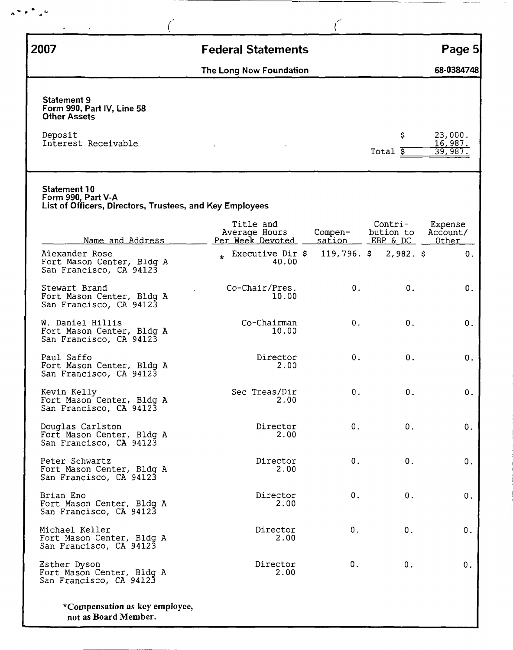| 2007                                                                                           | <b>Federal Statements</b>                      |                   |                                  | Page 5                        |
|------------------------------------------------------------------------------------------------|------------------------------------------------|-------------------|----------------------------------|-------------------------------|
|                                                                                                | The Long Now Foundation                        |                   |                                  | 68-0384748                    |
| <b>Statement 9</b><br>Form 990, Part IV, Line 58<br><b>Other Assets</b>                        |                                                |                   |                                  |                               |
| Deposit<br>Interest Receivable                                                                 |                                                |                   | \$<br>Total $\bar{s}$            | 23,000.<br>16,987.<br>39,987. |
| Statement 10<br>Form 990, Part V-A<br>List of Officers, Directors, Trustees, and Key Employees |                                                |                   |                                  |                               |
| Name and Address                                                                               | Title and<br>Average Hours<br>Per Week Devoted | Compen-<br>sation | Contri-<br>bution to<br>EBP & DC | Expense<br>Account/<br>Other  |
| Alexander Rose<br>Fort Mason Center, Bldg A<br>San Francisco, CA 94123                         | * Executive Dir \$<br>40.00                    | $119,796.$ \$     | $2,982.$ \$                      | 0.                            |
| Stewart Brand<br>Fort Mason Center, Bldg A<br>San Francisco, CA 94123                          | Co-Chair/Pres.<br>10.00                        | 0.                | 0.                               | О.                            |
| W. Daniel Hillis<br>Fort Mason Center, Bldg A<br>San Francisco, CA 94123                       | Co-Chairman<br>10.00                           | 0.                | 0.                               | 0.                            |
| Paul Saffo<br>Fort Mason Center, Bldg A<br>San Francisco, CA 94123                             | Director<br>2.00                               | 0.                | $0$ .                            | 0.                            |
| Kevin Kelly<br>Fort Mason Center, Bldg A<br>San Francisco, CA 94123                            | Sec Treas/Dir<br>2.00                          | 0.                | $0$ .                            | 0.                            |
| Douglas Carlston<br>Fort Mason Center, Bldg A<br>San Francisco, CA 94123                       | Director<br>2.00                               | 0.                | 0.                               | О.                            |
| Peter Schwartz<br>Fort Mason Center, Bldg A<br>San Francisco, CA 94123                         | Director<br>2.00                               | 0.                | 0.                               | О.                            |
| Brian Eno<br>Fort Mason Center, Bldg A<br>San Francisco, CA 94123                              | Director<br>2.00                               | 0.                | 0.                               | 0.                            |
|                                                                                                | Director                                       | 0.                | 0.                               | О.                            |
| Michael Keller<br>Fort Mason Center, Bldg A<br>San Francisco, CA 94123                         | 2.00                                           |                   |                                  |                               |

 $A^{\infty} \wedge \bigwedge^{\infty} A^{\vee}$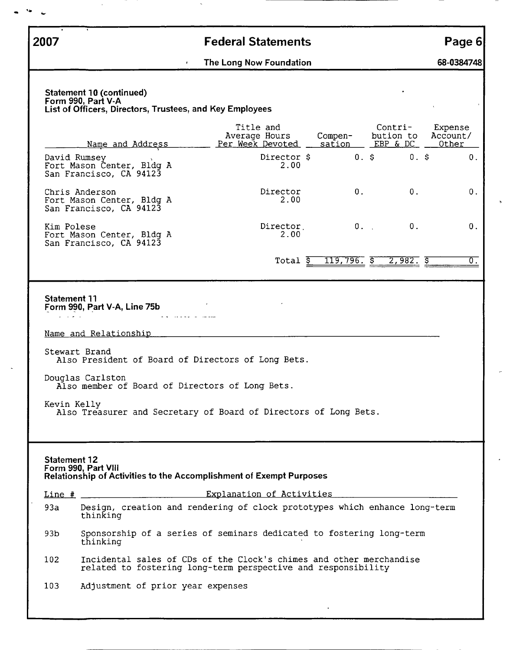| 2007                                                                                                       |           | <b>Federal Statements</b>                                                                                                            |                   |                                  | Page 6                       |
|------------------------------------------------------------------------------------------------------------|-----------|--------------------------------------------------------------------------------------------------------------------------------------|-------------------|----------------------------------|------------------------------|
|                                                                                                            | $\bullet$ | The Long Now Foundation                                                                                                              |                   |                                  | 68-0384748                   |
| Statement 10 (continued)<br>Form 990, Part V-A<br>List of Officers, Directors, Trustees, and Key Employees |           |                                                                                                                                      |                   |                                  |                              |
| <u>Name and Address</u>                                                                                    |           | Title and<br>Average Hours<br>Per Week Devoted                                                                                       | Compen-<br>sation | Contri-<br>bution to<br>EBP & DC | Expense<br>Account/<br>Other |
| David Rumsey<br>Fort Mason Center, Bldg A<br>San Francisco, CA 94123                                       |           | Director \$<br>2.00                                                                                                                  |                   | 0.5<br>0.5                       | $\mathbf 0$ .                |
| Chris Anderson<br>Fort Mason Center, Bldg A<br>San Francisco, CA 94123                                     |           | Director<br>2.00                                                                                                                     | 0 <sub>1</sub>    | $0$ .                            | 0.                           |
| Kim Polese<br>Fort Mason Center, Bldg A<br>San Francisco, CA 94123                                         |           | Director<br>2.00                                                                                                                     |                   | 0.<br>$0.$ .                     | 0.                           |
|                                                                                                            |           | Total \$                                                                                                                             | $119,796.$ $5$    | 2,982.5                          | 0.                           |
|                                                                                                            |           |                                                                                                                                      |                   |                                  |                              |
| <b>Statement 11</b><br>Form 990, Part V-A, Line 75b                                                        |           |                                                                                                                                      |                   |                                  |                              |
|                                                                                                            |           |                                                                                                                                      |                   |                                  |                              |
|                                                                                                            |           |                                                                                                                                      |                   |                                  |                              |
| Name and Relationship                                                                                      |           |                                                                                                                                      |                   |                                  |                              |
| Stewart Brand                                                                                              |           | Also President of Board of Directors of Long Bets.                                                                                   |                   |                                  |                              |
| Douglas Carlston                                                                                           |           | Also member of Board of Directors of Long Bets.                                                                                      |                   |                                  |                              |
| Kevin Kelly                                                                                                |           | Also Treasurer and Secretary of Board of Directors of Long Bets.                                                                     |                   |                                  |                              |
|                                                                                                            |           |                                                                                                                                      |                   |                                  |                              |
| <b>Statement 12</b><br>Form 990, Part VIII                                                                 |           | <b>Relationship of Activities to the Accomplishment of Exempt Purposes</b>                                                           |                   |                                  |                              |
| $Line$ #                                                                                                   |           | Explanation of Activities                                                                                                            |                   |                                  |                              |
| 93a<br>thinking                                                                                            |           | Design, creation and rendering of clock prototypes which enhance long-term                                                           |                   |                                  |                              |
| 93b<br>thinking                                                                                            |           | Sponsorship of a series of seminars dedicated to fostering long-term                                                                 |                   |                                  |                              |
| 102                                                                                                        |           | Incidental sales of CDs of the Clock's chimes and other merchandise<br>related to fostering long-term perspective and responsibility |                   |                                  |                              |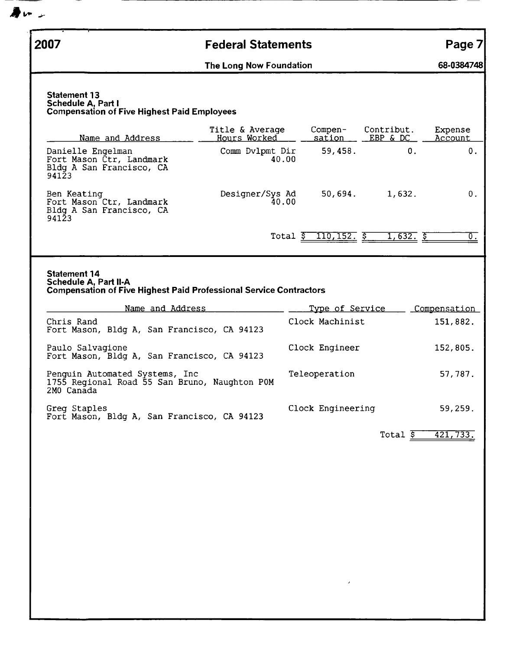| 2007                                                                                                                                                                                                                                           | <b>Federal Statements</b>       |                                                                         |                        | Page 7                                     |
|------------------------------------------------------------------------------------------------------------------------------------------------------------------------------------------------------------------------------------------------|---------------------------------|-------------------------------------------------------------------------|------------------------|--------------------------------------------|
|                                                                                                                                                                                                                                                | The Long Now Foundation         |                                                                         |                        | 68-0384748                                 |
| <b>Statement 13</b><br>Schedule A, Part I<br><b>Compensation of Five Highest Paid Employees</b>                                                                                                                                                |                                 |                                                                         |                        |                                            |
| Name and Address                                                                                                                                                                                                                               | Title & Average<br>Hours Worked | Compen-<br>sation                                                       | Contribut.<br>EBP & DC | Expense<br>Account                         |
| Danielle Engelman<br>Fort Mason Ctr, Landmark<br>Bldg A San Francisco, CA<br>94123                                                                                                                                                             | Comm Dvlpmt Dir<br>40.00        | 59,458.                                                                 | 0.                     | 0.                                         |
| Ben Keating<br>Fort Mason Ctr, Landmark<br>Bldg A San Francisco, CA<br>94123                                                                                                                                                                   | Designer/Sys Ad<br>40.00        | 50,694.                                                                 | 1,632.                 | 0.                                         |
|                                                                                                                                                                                                                                                |                                 | Total $\frac{2}{5}$ 110, 152. $\frac{2}{5}$                             | 1,632.5                | $\overline{0}$ .                           |
| Chris Rand<br>Fort Mason, Bldg A, San Francisco, CA 94123<br>Paulo Salvagione<br>Fort Mason, Bldg A, San Francisco, CA 94123<br>Penguin Automated Systems, Inc.<br>1755 Regional Road 55 San Bruno, Naughton POM<br>2MO Canada<br>Greg Staples |                                 | Clock Machinist<br>Clock Engineer<br>Teleoperation<br>Clock Engineering |                        | 151,882.<br>152,805.<br>57,787.<br>59,259. |
| Fort Mason, Bldg A, San Francisco, CA 94123                                                                                                                                                                                                    |                                 |                                                                         | Total $\overline{S}$   | 421,733.                                   |
|                                                                                                                                                                                                                                                |                                 |                                                                         |                        |                                            |
|                                                                                                                                                                                                                                                |                                 |                                                                         |                        |                                            |

 $\clubsuit$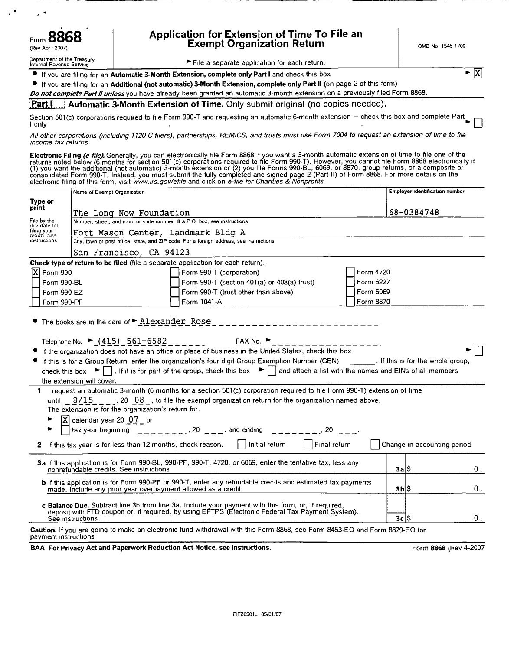| Form 8868<br>(Rev April 2007)                          | Application for Extension of Time To File an<br>Exempt Organization Return                      | OMB No 1545 1709 |
|--------------------------------------------------------|-------------------------------------------------------------------------------------------------|------------------|
| Department of the Treasury<br>Internal Revenue Service | File a separate application for each return.                                                    |                  |
|                                                        | ● If you are filing for an Automatic 3-Month Extension, complete only Part I and check this box |                  |

If you are filing for an Additional (not automatic) 3-Month Extension, complete only Part II (on page 2 of this form)

Do not complete Part Il unless you have already been granted an automatic 3-month extension on a previously filed Form 8868.

Automatic 3-Month Extension of Time. Only submit original (no copies needed). Part I

I only

ΙX

All other corporations (including 1120-C filers), partnerships, REMICS, and trusts must use Form 7004 to request an extension of time to file income tax returns

Electronic Filing (e-file). Generally, you can electronically file Form 8868 if you want a 3-month automatic extension of time to file one of the returns noted below (6 months for section 501(c) corporations required to fi

|                                                                                                                                                                                                                                                                                                                                                                                                                                                                                                                                                                                                                                                                                                                                                                                                                                                              | Name of Exempt Organization                                                            |                                                                                                                                                                                                                                                                                                                                                                                                                                                      |           | Employer identification number |                       |  |  |
|--------------------------------------------------------------------------------------------------------------------------------------------------------------------------------------------------------------------------------------------------------------------------------------------------------------------------------------------------------------------------------------------------------------------------------------------------------------------------------------------------------------------------------------------------------------------------------------------------------------------------------------------------------------------------------------------------------------------------------------------------------------------------------------------------------------------------------------------------------------|----------------------------------------------------------------------------------------|------------------------------------------------------------------------------------------------------------------------------------------------------------------------------------------------------------------------------------------------------------------------------------------------------------------------------------------------------------------------------------------------------------------------------------------------------|-----------|--------------------------------|-----------------------|--|--|
| Type or                                                                                                                                                                                                                                                                                                                                                                                                                                                                                                                                                                                                                                                                                                                                                                                                                                                      |                                                                                        |                                                                                                                                                                                                                                                                                                                                                                                                                                                      |           |                                |                       |  |  |
| print                                                                                                                                                                                                                                                                                                                                                                                                                                                                                                                                                                                                                                                                                                                                                                                                                                                        | The Long Now Foundation                                                                |                                                                                                                                                                                                                                                                                                                                                                                                                                                      |           | 68-0384748                     |                       |  |  |
| File by the<br>due date for                                                                                                                                                                                                                                                                                                                                                                                                                                                                                                                                                                                                                                                                                                                                                                                                                                  | Number, street, and room or suite number If a PO box, see instructions                 |                                                                                                                                                                                                                                                                                                                                                                                                                                                      |           |                                |                       |  |  |
| filing your<br>return See                                                                                                                                                                                                                                                                                                                                                                                                                                                                                                                                                                                                                                                                                                                                                                                                                                    | Fort Mason Center, Landmark Bldg A                                                     |                                                                                                                                                                                                                                                                                                                                                                                                                                                      |           |                                |                       |  |  |
| instructions                                                                                                                                                                                                                                                                                                                                                                                                                                                                                                                                                                                                                                                                                                                                                                                                                                                 | City, town or post office, state, and ZIP code For a foreign address, see instructions |                                                                                                                                                                                                                                                                                                                                                                                                                                                      |           |                                |                       |  |  |
|                                                                                                                                                                                                                                                                                                                                                                                                                                                                                                                                                                                                                                                                                                                                                                                                                                                              | San Francisco, CA 94123                                                                |                                                                                                                                                                                                                                                                                                                                                                                                                                                      |           |                                |                       |  |  |
|                                                                                                                                                                                                                                                                                                                                                                                                                                                                                                                                                                                                                                                                                                                                                                                                                                                              | Check type of return to be filed (file a separate application for each return).        |                                                                                                                                                                                                                                                                                                                                                                                                                                                      |           |                                |                       |  |  |
| $[X]$ Form 990                                                                                                                                                                                                                                                                                                                                                                                                                                                                                                                                                                                                                                                                                                                                                                                                                                               |                                                                                        | Form 990-T (corporation)                                                                                                                                                                                                                                                                                                                                                                                                                             | Form 4720 |                                |                       |  |  |
| Form 990-BL                                                                                                                                                                                                                                                                                                                                                                                                                                                                                                                                                                                                                                                                                                                                                                                                                                                  |                                                                                        | Form 990-T (section 401(a) or 408(a) trust)                                                                                                                                                                                                                                                                                                                                                                                                          | Form 5227 |                                |                       |  |  |
| Form 990-EZ                                                                                                                                                                                                                                                                                                                                                                                                                                                                                                                                                                                                                                                                                                                                                                                                                                                  |                                                                                        | Form 990-T (trust other than above)                                                                                                                                                                                                                                                                                                                                                                                                                  | Form 6069 |                                |                       |  |  |
| Form 990-PF                                                                                                                                                                                                                                                                                                                                                                                                                                                                                                                                                                                                                                                                                                                                                                                                                                                  |                                                                                        | Form 1041-A                                                                                                                                                                                                                                                                                                                                                                                                                                          | Form 8870 |                                |                       |  |  |
| Telephone No. ► $(415)$ 561-6582 _ _ _ _ _ FAX No. ► _ _ _ _ _ _ _ _ _ _ _ _ _ _ _ _ _<br>If the organization does not have an office or place of business in the United States, check this box<br>If this is for a Group Return, enter the organization's four digit Group Exemption Number (GEN) [15] If this is for the whole group,<br>check this box $\blacktriangleright \blacksquare$ . If it is for part of the group, check this box $\blacktriangleright \blacksquare$ and attach a list with the names and EINs of all members<br>the extension will cover.<br>1 I request an automatic 3-month (6 months for a section 501(c) corporation required to file Form 990-T) extension of time<br>until $8/15$ , 20 08, b file the exempt organization return for the organization named above.<br>The extension is for the organization's return for. |                                                                                        |                                                                                                                                                                                                                                                                                                                                                                                                                                                      |           |                                |                       |  |  |
|                                                                                                                                                                                                                                                                                                                                                                                                                                                                                                                                                                                                                                                                                                                                                                                                                                                              |                                                                                        | ► $\begin{array}{ c c c c c }\n\hline\n\text{X} & \text{calendar year 20 } & \text{O7}_{\text{max}} & \text{or} & \text{and ending} & \text{if} & \text{if} & \text{if} & \text{if} & \text{if} & \text{if} & \text{if} & \text{if} & \text{if} & \text{if} & \text{if} & \text{if} & \text{if} & \text{if} & \text{if} & \text{if} & \text{if} & \text{if} & \text{if} & \text{if} & \text{if} & \text{if} & \text{if} & \text{if} & \text{if} & \$ |           |                                |                       |  |  |
|                                                                                                                                                                                                                                                                                                                                                                                                                                                                                                                                                                                                                                                                                                                                                                                                                                                              |                                                                                        | 2 If this tax year is for less than 12 months, check reason.     Initial return     Final return                                                                                                                                                                                                                                                                                                                                                     |           | Change in accounting period    |                       |  |  |
|                                                                                                                                                                                                                                                                                                                                                                                                                                                                                                                                                                                                                                                                                                                                                                                                                                                              | nonrefundable credits. See instructions                                                | 3a If this application is for Form 990-BL, 990-PF, 990-T, 4720, or 6069, enter the tentative tax, less any                                                                                                                                                                                                                                                                                                                                           |           | 3a 5                           | 0.                    |  |  |
|                                                                                                                                                                                                                                                                                                                                                                                                                                                                                                                                                                                                                                                                                                                                                                                                                                                              | made. Include any prior year overpayment allowed as a credit                           | <b>b</b> If this application is for Form 990-PF or 990-T, enter any refundable credits and estimated tax payments                                                                                                                                                                                                                                                                                                                                    |           | 3Ы\$                           | 0.                    |  |  |
| c Balance Due. Subtract line 3b from line 3a. Include your payment with this form, or, if required,<br>deposit with FTD coupon or, if required, by using EFTPS (Electronic Federal Tax Payment System).<br>3c S<br>0.<br>See instructions                                                                                                                                                                                                                                                                                                                                                                                                                                                                                                                                                                                                                    |                                                                                        |                                                                                                                                                                                                                                                                                                                                                                                                                                                      |           |                                |                       |  |  |
| payment instructions                                                                                                                                                                                                                                                                                                                                                                                                                                                                                                                                                                                                                                                                                                                                                                                                                                         |                                                                                        | Caution. If you are going to make an electronic fund withdrawal with this Form 8868, see Form 8453-EO and Form 8879-EO for                                                                                                                                                                                                                                                                                                                           |           |                                |                       |  |  |
| BAA For Privacy Act and Paperwork Reduction Act Notice, see instructions.                                                                                                                                                                                                                                                                                                                                                                                                                                                                                                                                                                                                                                                                                                                                                                                    |                                                                                        |                                                                                                                                                                                                                                                                                                                                                                                                                                                      |           |                                | Form 8868 (Rev 4-2007 |  |  |